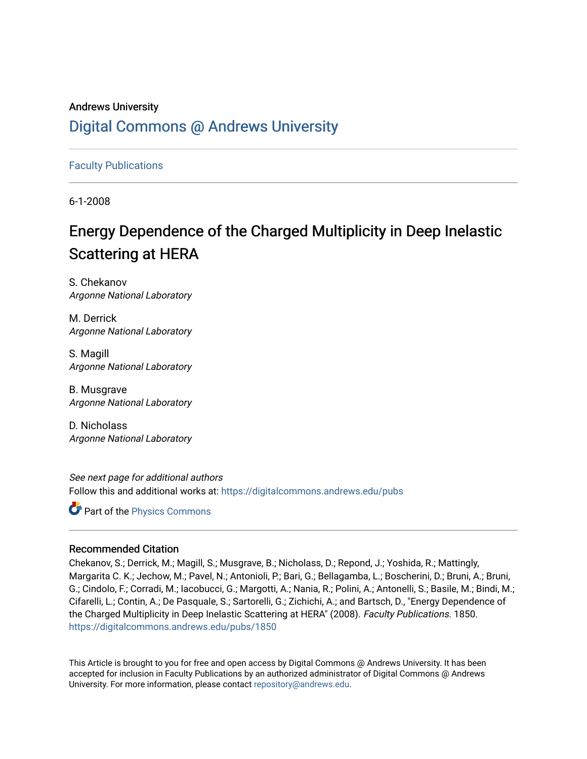## Andrews University [Digital Commons @ Andrews University](https://digitalcommons.andrews.edu/)

[Faculty Publications](https://digitalcommons.andrews.edu/pubs)

6-1-2008

# Energy Dependence of the Charged Multiplicity in Deep Inelastic Scattering at HERA

S. Chekanov Argonne National Laboratory

M. Derrick Argonne National Laboratory

S. Magill Argonne National Laboratory

B. Musgrave Argonne National Laboratory

D. Nicholass Argonne National Laboratory

See next page for additional authors Follow this and additional works at: [https://digitalcommons.andrews.edu/pubs](https://digitalcommons.andrews.edu/pubs?utm_source=digitalcommons.andrews.edu%2Fpubs%2F1850&utm_medium=PDF&utm_campaign=PDFCoverPages) 

**Part of the [Physics Commons](http://network.bepress.com/hgg/discipline/193?utm_source=digitalcommons.andrews.edu%2Fpubs%2F1850&utm_medium=PDF&utm_campaign=PDFCoverPages)** 

## Recommended Citation

Chekanov, S.; Derrick, M.; Magill, S.; Musgrave, B.; Nicholass, D.; Repond, J.; Yoshida, R.; Mattingly, Margarita C. K.; Jechow, M.; Pavel, N.; Antonioli, P.; Bari, G.; Bellagamba, L.; Boscherini, D.; Bruni, A.; Bruni, G.; Cindolo, F.; Corradi, M.; Iacobucci, G.; Margotti, A.; Nania, R.; Polini, A.; Antonelli, S.; Basile, M.; Bindi, M.; Cifarelli, L.; Contin, A.; De Pasquale, S.; Sartorelli, G.; Zichichi, A.; and Bartsch, D., "Energy Dependence of the Charged Multiplicity in Deep Inelastic Scattering at HERA" (2008). Faculty Publications. 1850. [https://digitalcommons.andrews.edu/pubs/1850](https://digitalcommons.andrews.edu/pubs/1850?utm_source=digitalcommons.andrews.edu%2Fpubs%2F1850&utm_medium=PDF&utm_campaign=PDFCoverPages) 

This Article is brought to you for free and open access by Digital Commons @ Andrews University. It has been accepted for inclusion in Faculty Publications by an authorized administrator of Digital Commons @ Andrews University. For more information, please contact [repository@andrews.edu](mailto:repository@andrews.edu).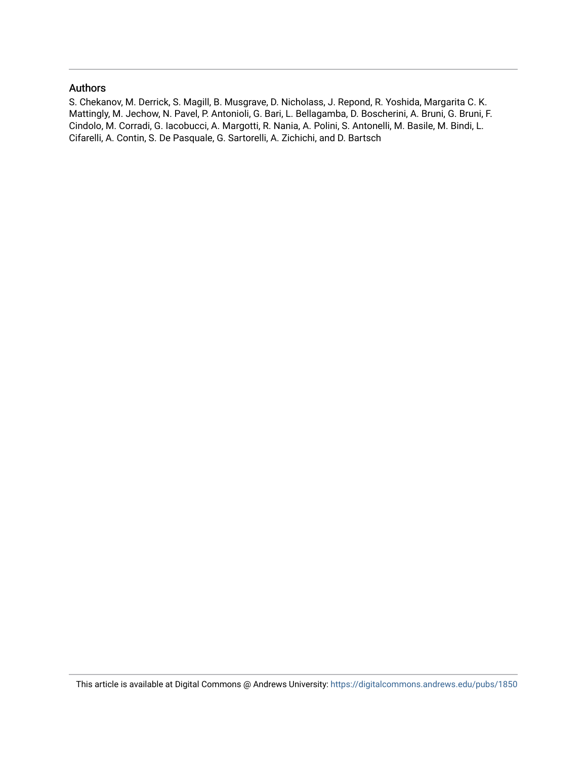#### Authors

S. Chekanov, M. Derrick, S. Magill, B. Musgrave, D. Nicholass, J. Repond, R. Yoshida, Margarita C. K. Mattingly, M. Jechow, N. Pavel, P. Antonioli, G. Bari, L. Bellagamba, D. Boscherini, A. Bruni, G. Bruni, F. Cindolo, M. Corradi, G. Iacobucci, A. Margotti, R. Nania, A. Polini, S. Antonelli, M. Basile, M. Bindi, L. Cifarelli, A. Contin, S. De Pasquale, G. Sartorelli, A. Zichichi, and D. Bartsch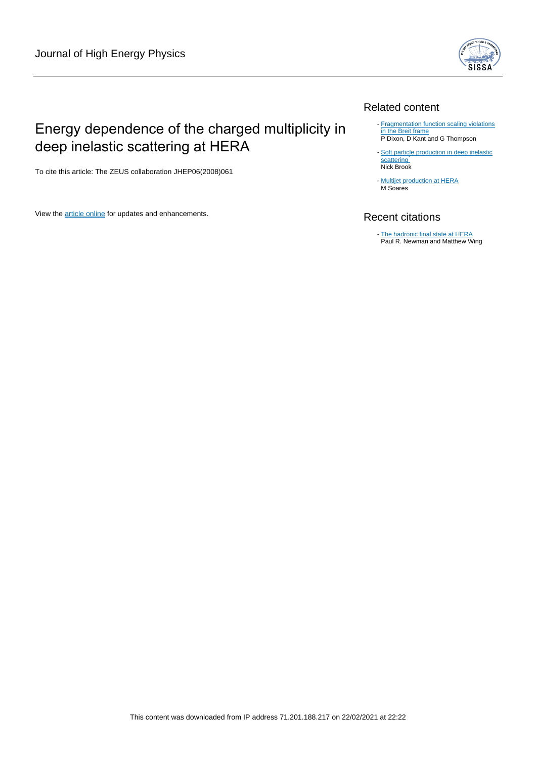

## Related content

## Energy dependence of the charged multiplicity in deep inelastic scattering at HERA

To cite this article: The ZEUS collaboration JHEP06(2008)061

View the **[article online](https://doi.org/10.1088/1126-6708/2008/06/061)** for updates and enhancements.

#### - **[Fragmentation function scaling violations](/article/10.1088/0954-3899/25/7/326)** [in the Breit frame](/article/10.1088/0954-3899/25/7/326) P Dixon, D Kant and G Thompson

- [Soft particle production in deep inelastic](/article/10.1088/0954-3899/28/5/313) [scattering](/article/10.1088/0954-3899/28/5/313) Nick Brook

- [Multijet production at HERA](/article/10.1088/1742-6596/110/2/022047) M Soares

## Recent citations

[The hadronic final state at HERA](http://dx.doi.org/10.1103/RevModPhys.86.1037) Paul R. Newman and Matthew Wing -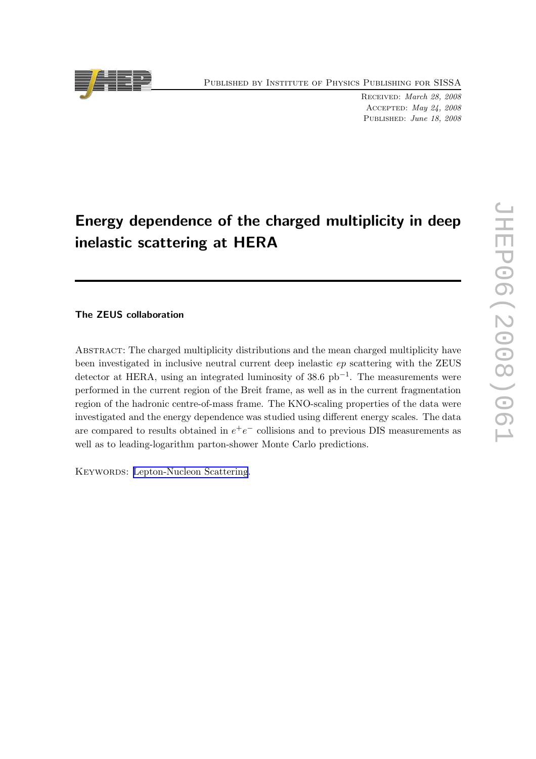Published by Institute of Physics Publishing for SISSA

Received: March 28, 2008 Accepted: May 24, 2008 PUBLISHED: June 18, 2008

# Energy dependence of the charged multiplicity in deep inelastic scattering at HERA

## The ZEUS collaboration

Abstract: The charged multiplicity distributions and the mean charged multiplicity have been investigated in inclusive neutral current deep inelastic ep scattering with the ZEUS detector at HERA, using an integrated luminosity of 38.6 pb−<sup>1</sup> . The measurements were performed in the current region of the Breit frame, as well as in the current fragmentation region of the hadronic centre-of-mass frame. The KNO-scaling properties of the data were investigated and the energy dependence was studied using different energy scales. The data are compared to results obtained in  $e^+e^-$  collisions and to previous DIS measurements as well as to leading-logarithm parton-shower Monte Carlo predictions.

KEYWORDS: [Lepton-Nucleon Scattering](http://jhep.sissa.it/stdsearch).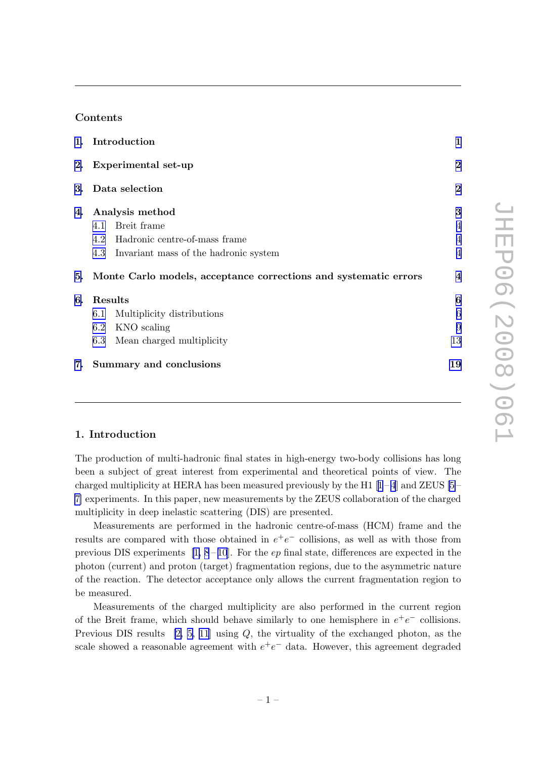### Contents

|    | 1. Introduction                                                     |                         |  |
|----|---------------------------------------------------------------------|-------------------------|--|
|    | 2. Experimental set-up                                              | $\overline{2}$          |  |
|    | 3. Data selection                                                   | $\overline{2}$          |  |
| 4. | Analysis method                                                     | 3                       |  |
|    | Breit frame<br>4.1                                                  | $\overline{4}$          |  |
|    | 4.2 Hadronic centre-of-mass frame                                   | $\overline{4}$          |  |
|    | 4.3 Invariant mass of the hadronic system                           | $\overline{4}$          |  |
|    | 5. Monte Carlo models, acceptance corrections and systematic errors | $\overline{\mathbf{4}}$ |  |
| 6. | Results                                                             | 6                       |  |
|    | Multiplicity distributions<br>6.1                                   | 6                       |  |
|    | 6.2 KNO scaling                                                     | 9                       |  |
|    | 6.3 Mean charged multiplicity                                       | 13                      |  |
| 7. | Summary and conclusions                                             | 19                      |  |

#### 1. Introduction

The production of multi-hadronic final states in high-energy two-body collisions has long been a subject of great interest from experimental and theoretical points of view. The chargedmultiplicity at HERA has been measured previously by the H[1](#page-32-0)  $[1-4]$  and ZEUS  $[5-$ [7\]](#page-33-0) experiments. In this paper, new measurements by the ZEUS collaboration of the charged multiplicity in deep inelastic scattering (DIS) are presented.

Measurements are performed in the hadronic centre-of-mass (HCM) frame and the results are compared with those obtained in  $e^+e^-$  collisions, as well as with those from previous DIS experiments  $[1, 8-10]$  $[1, 8-10]$  $[1, 8-10]$ . For the ep final state, differences are expected in the photon (current) and proton (target) fragmentation regions, due to the asymmetric nature of the reaction. The detector acceptance only allows the current fragmentation region to be measured.

Measurements of the charged multiplicity are also performed in the current region of the Breit frame, which should behave similarly to one hemisphere in  $e^+e^-$  collisions. Previous DIS results  $[2, 5, 11]$  $[2, 5, 11]$  $[2, 5, 11]$  using Q, the virtuality of the exchanged photon, as the scale showed a reasonable agreement with  $e^+e^-$  data. However, this agreement degraded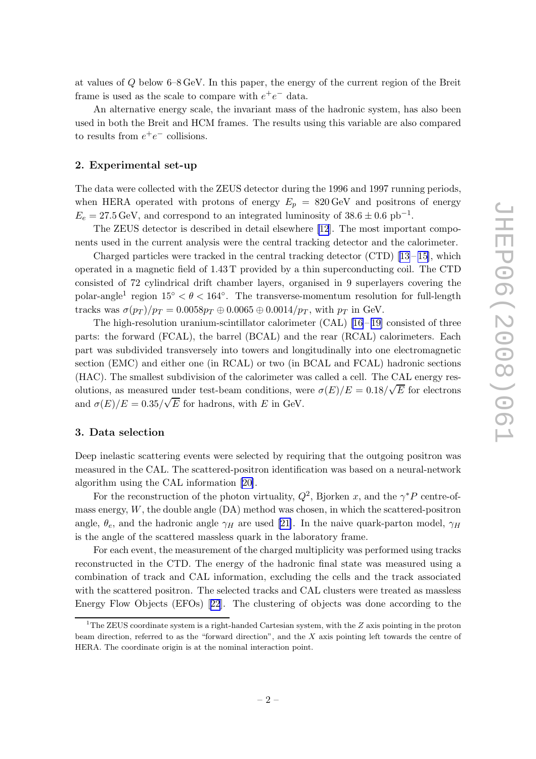<span id="page-5-0"></span>at values of Q below 6–8 GeV. In this paper, the energy of the current region of the Breit frame is used as the scale to compare with  $e^+e^-$  data.

An alternative energy scale, the invariant mass of the hadronic system, has also been used in both the Breit and HCM frames. The results using this variable are also compared to results from  $e^+e^-$  collisions.

#### 2. Experimental set-up

The data were collected with the ZEUS detector during the 1996 and 1997 running periods, when HERA operated with protons of energy  $E_p = 820 \,\text{GeV}$  and positrons of energy  $E_e = 27.5 \,\text{GeV}$ , and correspond to an integrated luminosity of  $38.6 \pm 0.6 \text{ pb}^{-1}$ .

The ZEUS detector is described in detail elsewhere [\[12](#page-33-0)]. The most important components used in the current analysis were the central tracking detector and the calorimeter.

Chargedparticles were tracked in the central tracking detector  $(TD)$  [[13](#page-33-0) – [15\]](#page-33-0), which operated in a magnetic field of 1.43 T provided by a thin superconducting coil. The CTD consisted of 72 cylindrical drift chamber layers, organised in 9 superlayers covering the polar-angle<sup>1</sup> region  $15° < \theta < 164°$ . The transverse-momentum resolution for full-length tracks was  $\sigma(p_T)/p_T = 0.0058p_T \oplus 0.0065 \oplus 0.0014/p_T$ , with  $p_T$  in GeV.

Thehigh-resolution uranium-scintillator calorimeter  $(CAL)$  [[16](#page-33-0) – [19\]](#page-33-0) consisted of three parts: the forward (FCAL), the barrel (BCAL) and the rear (RCAL) calorimeters. Each part was subdivided transversely into towers and longitudinally into one electromagnetic section (EMC) and either one (in RCAL) or two (in BCAL and FCAL) hadronic sections (HAC). The smallest subdivision of the calorimeter was called a cell. The CAL energy resolutions, as measured under test-beam conditions, were  $\sigma(E)/E = 0.18/\sqrt{E}$  for electrons and  $\sigma(E)/E = 0.35/\sqrt{E}$  for hadrons, with E in GeV.

#### 3. Data selection

Deep inelastic scattering events were selected by requiring that the outgoing positron was measured in the CAL. The scattered-positron identification was based on a neural-network algorithm using the CAL information [\[20\]](#page-33-0).

For the reconstruction of the photon virtuality,  $Q^2$ , Bjorken x, and the  $\gamma^* P$  centre-ofmass energy,  $W$ , the double angle  $(DA)$  method was chosen, in which the scattered-positron angle,  $\theta_e$ , and the hadronic angle  $\gamma_H$  are used [\[21\]](#page-33-0). In the naive quark-parton model,  $\gamma_H$ is the angle of the scattered massless quark in the laboratory frame.

For each event, the measurement of the charged multiplicity was performed using tracks reconstructed in the CTD. The energy of the hadronic final state was measured using a combination of track and CAL information, excluding the cells and the track associated with the scattered positron. The selected tracks and CAL clusters were treated as massless Energy Flow Objects (EFOs)[[22](#page-34-0)]. The clustering of objects was done according to the

<sup>&</sup>lt;sup>1</sup>The ZEUS coordinate system is a right-handed Cartesian system, with the  $Z$  axis pointing in the proton beam direction, referred to as the "forward direction", and the  $X$  axis pointing left towards the centre of HERA. The coordinate origin is at the nominal interaction point.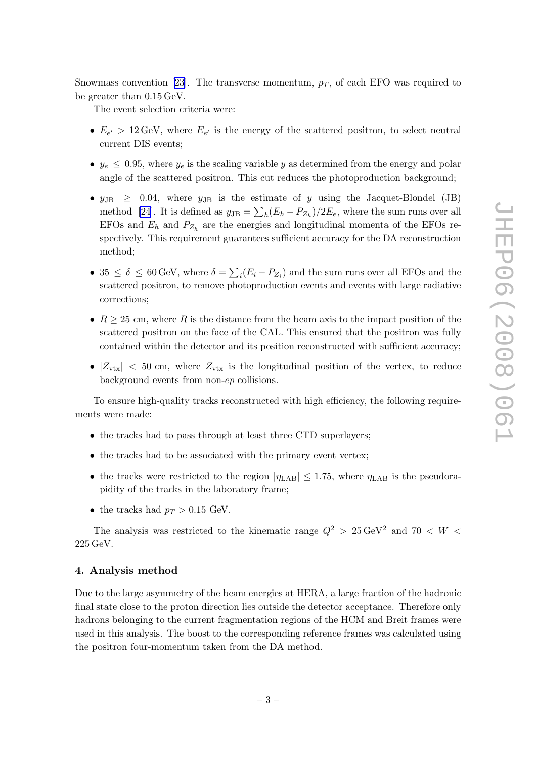<span id="page-6-0"></span>Snowmassconvention [[23\]](#page-34-0). The transverse momentum,  $p_T$ , of each EFO was required to be greater than 0.15 GeV.

The event selection criteria were:

- $E_{e'} > 12 \,\text{GeV}$ , where  $E_{e'}$  is the energy of the scattered positron, to select neutral current DIS events;
- $y_e \leq 0.95$ , where  $y_e$  is the scaling variable y as determined from the energy and polar angle of the scattered positron. This cut reduces the photoproduction background;
- $y_{\text{JB}} \geq 0.04$ , where  $y_{\text{JB}}$  is the estimate of y using the Jacquet-Blondel (JB) method [\[24](#page-34-0)]. It is defined as  $y_{\text{JB}} = \sum_h (E_h - P_{Z_h})/2E_e$ , where the sum runs over all EFOs and  $E_h$  and  $P_{Z_h}$  are the energies and longitudinal momenta of the EFOs respectively. This requirement guarantees sufficient accuracy for the DA reconstruction method;
- 35  $\leq \delta \leq 60$  GeV, where  $\delta = \sum_i (E_i P_{Z_i})$  and the sum runs over all EFOs and the scattered positron, to remove photoproduction events and events with large radiative corrections;
- $R > 25$  cm, where R is the distance from the beam axis to the impact position of the scattered positron on the face of the CAL. This ensured that the positron was fully contained within the detector and its position reconstructed with sufficient accuracy;
- $|Z_{\text{vtx}}|$  < 50 cm, where  $Z_{\text{vtx}}$  is the longitudinal position of the vertex, to reduce background events from non-ep collisions.

To ensure high-quality tracks reconstructed with high efficiency, the following requirements were made:

- the tracks had to pass through at least three CTD superlayers;
- the tracks had to be associated with the primary event vertex;
- the tracks were restricted to the region  $|\eta_{\rm LAB}| \leq 1.75$ , where  $\eta_{\rm LAB}$  is the pseudorapidity of the tracks in the laboratory frame;
- the tracks had  $p_T > 0.15$  GeV.

The analysis was restricted to the kinematic range  $Q^2 > 25 \,\text{GeV}^2$  and  $70 < W <$ 225 GeV.

#### 4. Analysis method

Due to the large asymmetry of the beam energies at HERA, a large fraction of the hadronic final state close to the proton direction lies outside the detector acceptance. Therefore only hadrons belonging to the current fragmentation regions of the HCM and Breit frames were used in this analysis. The boost to the corresponding reference frames was calculated using the positron four-momentum taken from the DA method.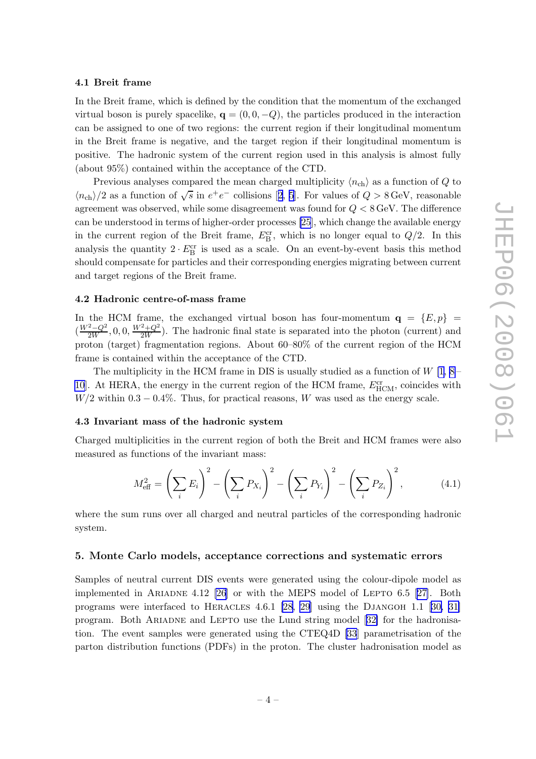#### <span id="page-7-0"></span>4.1 Breit frame

In the Breit frame, which is defined by the condition that the momentum of the exchanged virtual boson is purely spacelike,  $q = (0, 0, -Q)$ , the particles produced in the interaction can be assigned to one of two regions: the current region if their longitudinal momentum in the Breit frame is negative, and the target region if their longitudinal momentum is positive. The hadronic system of the current region used in this analysis is almost fully (about 95%) contained within the acceptance of the CTD.

Previous analyses compared the mean charged multiplicity  $\langle n_{ch} \rangle$  as a function of Q to  $\langle n_{\text{ch}} \rangle/2$  $\langle n_{\text{ch}} \rangle/2$  $\langle n_{\text{ch}} \rangle/2$  as a function of  $\sqrt{s}$  in  $e^+e^-$  collisions [[2,](#page-32-0) [5](#page-33-0)]. For values of  $Q > 8 \,\text{GeV}$ , reasonable agreement was observed, while some disagreement was found for Q < 8 GeV. The difference can be understood in terms of higher-order processes [\[25](#page-34-0)], which change the available energy in the current region of the Breit frame,  $E_{\rm B}^{\rm cr}$ , which is no longer equal to  $Q/2$ . In this analysis the quantity  $2 \cdot E_B^{\text{cr}}$  is used as a scale. On an event-by-event basis this method should compensate for particles and their corresponding energies migrating between current and target regions of the Breit frame.

#### 4.2 Hadronic centre-of-mass frame

In the HCM frame, the exchanged virtual boson has four-momentum  $q = \{E, p\}$  =  $(\frac{W^2-Q^2}{2W},0,0,\frac{W^2+Q^2}{2W})$ . The hadronic final state is separated into the photon (current) and proton (target) fragmentation regions. About 60–80% of the current region of the HCM frame is contained within the acceptance of the CTD.

The multiplicity in the HCM frame in DIS is usually studied as a function of  $W$  [\[1,](#page-32-0) [8](#page-33-0) – [10](#page-33-0)]. At HERA, the energy in the current region of the HCM frame,  $E_{\text{HCM}}^{\text{cr}}$ , coincides with  $W/2$  within 0.3 – 0.4%. Thus, for practical reasons, W was used as the energy scale.

#### 4.3 Invariant mass of the hadronic system

Charged multiplicities in the current region of both the Breit and HCM frames were also measured as functions of the invariant mass:

$$
M_{\text{eff}}^2 = \left(\sum_i E_i\right)^2 - \left(\sum_i P_{X_i}\right)^2 - \left(\sum_i P_{Y_i}\right)^2 - \left(\sum_i P_{Z_i}\right)^2,\tag{4.1}
$$

where the sum runs over all charged and neutral particles of the corresponding hadronic system.

#### 5. Monte Carlo models, acceptance corrections and systematic errors

Samples of neutral current DIS events were generated using the colour-dipole model as implementedin ARIADNE 4.12  $[26]$  or with the MEPS model of LEPTO 6.5  $[27]$  $[27]$ . Both programs were interfaced to HERACLES 4.6.1 [\[28, 29](#page-34-0)]using the DJANGOH 1.1 [[30, 31\]](#page-34-0) program. Both Ariadne and Lepto use the Lund string model[[32\]](#page-34-0) for the hadronisation. The event samples were generated using the CTEQ4D [\[33](#page-34-0)] parametrisation of the parton distribution functions (PDFs) in the proton. The cluster hadronisation model as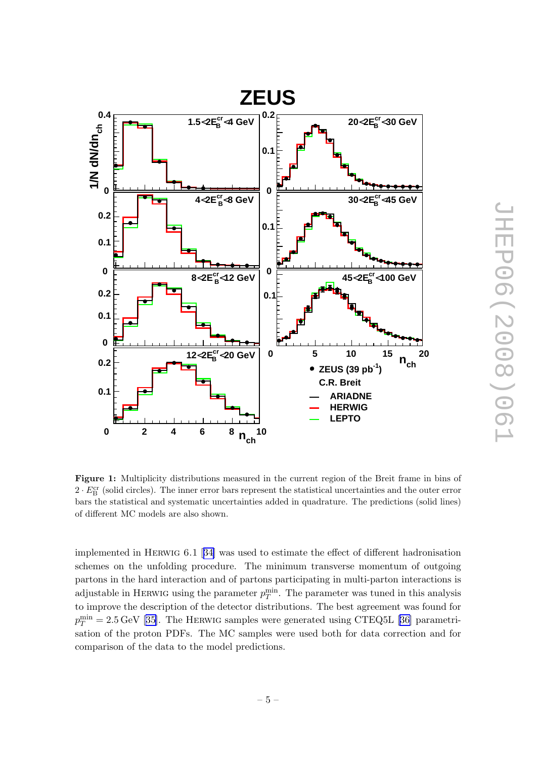<span id="page-8-0"></span>

Figure 1: Multiplicity distributions measured in the current region of the Breit frame in bins of  $2 \cdot E_B^{\text{cr}}$  (solid circles). The inner error bars represent the statistical uncertainties and the outer error bars the statistical and systematic uncertainties added in quadrature. The predictions (solid lines) of different MC models are also shown.

implemented in Herwig 6.1 [[34\]](#page-34-0) was used to estimate the effect of different hadronisation schemes on the unfolding procedure. The minimum transverse momentum of outgoing partons in the hard interaction and of partons participating in multi-parton interactions is adjustable in HERWIG using the parameter  $p_T^{\min}$ . The parameter was tuned in this analysis to improve the description of the detector distributions. The best agreement was found for  $p_T^{\text{min}} = 2.5 \,\text{GeV}$  $p_T^{\text{min}} = 2.5 \,\text{GeV}$  $p_T^{\text{min}} = 2.5 \,\text{GeV}$  [[35\]](#page-34-0). The HERWIG samples were generated using CTEQ5L [\[36\]](#page-34-0) parametrisation of the proton PDFs. The MC samples were used both for data correction and for comparison of the data to the model predictions.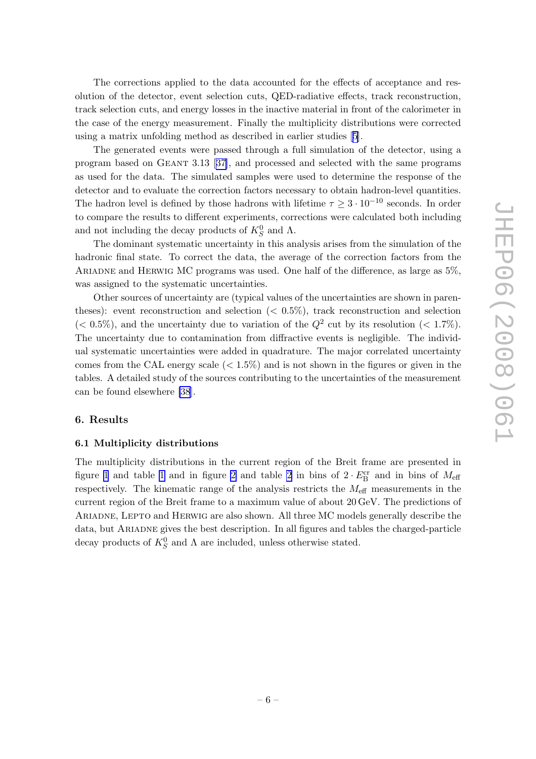<span id="page-9-0"></span>The corrections applied to the data accounted for the effects of acceptance and resolution of the detector, event selection cuts, QED-radiative effects, track reconstruction, track selection cuts, and energy losses in the inactive material in front of the calorimeter in the case of the energy measurement. Finally the multiplicity distributions were corrected using a matrix unfolding method as described in earlier studies[[5\]](#page-33-0).

The generated events were passed through a full simulation of the detector, using a program based on Geant 3.13[[37\]](#page-34-0), and processed and selected with the same programs as used for the data. The simulated samples were used to determine the response of the detector and to evaluate the correction factors necessary to obtain hadron-level quantities. The hadron level is defined by those hadrons with lifetime  $\tau \geq 3 \cdot 10^{-10}$  seconds. In order to compare the results to different experiments, corrections were calculated both including and not including the decay products of  $K_S^0$  and  $\Lambda$ .

The dominant systematic uncertainty in this analysis arises from the simulation of the hadronic final state. To correct the data, the average of the correction factors from the Ariadne and Herwig MC programs was used. One half of the difference, as large as 5%, was assigned to the systematic uncertainties.

Other sources of uncertainty are (typical values of the uncertainties are shown in parentheses): event reconstruction and selection  $(< 0.5\%)$ , track reconstruction and selection  $(< 0.5\%)$ , and the uncertainty due to variation of the  $Q^2$  cut by its resolution  $(< 1.7\%)$ . The uncertainty due to contamination from diffractive events is negligible. The individual systematic uncertainties were added in quadrature. The major correlated uncertainty comes from the CAL energy scale  $( $1.5\%$ )$  and is not shown in the figures or given in the tables. A detailed study of the sources contributing to the uncertainties of the measurement can be found elsewhere [\[38](#page-34-0)].

#### 6. Results

#### 6.1 Multiplicity distributions

The multiplicity distributions in the current region of the Breit frame are presented in figure [1](#page-8-0) and table 1 and in figure [2](#page-11-0) and table 2 in bins of  $2 \cdot E_{\rm B}^{\rm cr}$  and in bins of  $M_{\rm eff}$ respectively. The kinematic range of the analysis restricts the  $M_{\text{eff}}$  measurements in the current region of the Breit frame to a maximum value of about 20 GeV. The predictions of Ariadne, Lepto and Herwig are also shown. All three MC models generally describe the data, but Ariadne gives the best description. In all figures and tables the charged-particle decay products of  $K_S^0$  and  $\Lambda$  are included, unless otherwise stated.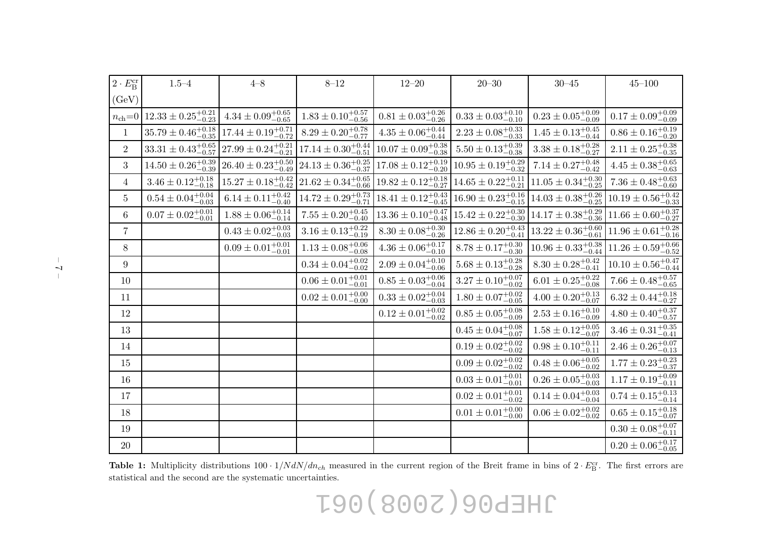| $2 \cdot E_{\rm B}^{\rm cr}$ | $1.5 - 4$                                  | $4 - 8$                          | $8 - 12$                         | $12 - 20$                                  | $20 - 30$                        | $30 - 45$                        | $45 - 100$                                 |
|------------------------------|--------------------------------------------|----------------------------------|----------------------------------|--------------------------------------------|----------------------------------|----------------------------------|--------------------------------------------|
| (GeV)                        |                                            |                                  |                                  |                                            |                                  |                                  |                                            |
| $n_{\text{ch}}=0$            | $12.33 \pm 0.25^{+0.21}_{-0.23}$           | $4.34 \pm 0.09^{+0.65}_{-0.65}$  | $1.83\pm0.10^{+0.57}_{-0.56}$    | $0.81\pm0.03^{+0.26}_{-0.26}$              | $0.33\pm0.03^{+0.10}_{-0.10}$    | $0.23\pm0.05^{+0.09}_{-0.09}$    | $0.17\pm0.09^{+0.09}_{-0.09}$              |
| $\mathbf{1}$                 | $\overline{35.79\pm 0.46^{+0.18}_{-0.35}}$ | $17.44 \pm 0.19_{-0.72}^{+0.71}$ | $8.29 \pm 0.20^{+0.78}_{-0.77}$  | $4.35\pm0.06^{+0.44}_{-0.44}$              | $2.23 \pm 0.08_{-0.33}^{+0.33}$  | $1.45 \pm 0.13_{-0.44}^{+0.45}$  | $0.86\pm0.16^{+0.19}_{-0.20}$              |
| $\overline{2}$               | $33.31 \pm 0.43_{-0.57}^{+0.65}$           | $27.99 \pm 0.24^{+0.21}_{-0.21}$ | $17.14 \pm 0.30^{+0.44}_{-0.51}$ | $10.07 \pm 0.09_{-0.38}^{+0.38}$           | $5.50 \pm 0.13_{-0.38}^{+0.39}$  | $3.38 \pm 0.18_{-0.27}^{+0.28}$  | $2.11 \pm 0.25^{+0.38}_{-0.35}$            |
| 3                            | $14.50 \pm 0.26^{+0.39}_{-0.39}$           | $26.40 \pm 0.23_{-0.49}^{+0.50}$ | $24.13 \pm 0.36_{-0.37}^{+0.25}$ | $17.08 \pm 0.12_{-0.20}^{+0.19}$           | $10.95 \pm 0.19^{+0.29}_{-0.32}$ | $7.14 \pm 0.27^{+0.48}_{-0.42}$  | $4.45 \pm 0.38^{+0.65}_{-0.63}$            |
| $\overline{4}$               | $3.46 \pm 0.12^{+0.18}_{-0.18}$            | $15.27 \pm 0.18^{+0.42}_{-0.42}$ | $21.62 \pm 0.34^{+0.65}_{-0.66}$ | $\overline{19.82\pm 0.12^{+0.18}_{-0.27}}$ | $14.65 \pm 0.22^{+0.11}_{-0.21}$ | $11.05 \pm 0.34^{+0.30}_{-0.25}$ | $7.36\pm0.48^{+0.63}_{-0.60}$              |
| $\overline{5}$               | $0.54 \pm 0.04^{+0.04}_{-0.03}$            | $6.14 \pm 0.11^{+0.42}_{-0.40}$  | $14.72 \pm 0.29^{+0.73}_{-0.71}$ | $18.41 \pm 0.12^{+0.43}_{-0.45}$           | $16.90 \pm 0.23^{+0.16}_{-0.15}$ | $14.03 \pm 0.38^{+0.26}_{-0.25}$ | $10.19 \pm 0.56^{+0.42}_{-0.33}$           |
| 6                            | $\overline{0.07 \pm 0.02^{+0.01}_{-0.01}}$ | $1.88 \pm 0.06_{-0.14}^{+0.14}$  | $7.55 \pm 0.20^{+0.45}_{-0.40}$  | $13.36 \pm 0.10^{+0.47}_{-0.48}$           | $15.42 \pm 0.22^{+0.30}_{-0.30}$ | $14.17 \pm 0.38_{-0.36}^{+0.29}$ | $11.66 \pm 0.60^{+0.37}_{-0.27}$           |
| $\overline{7}$               |                                            | $0.43 \pm 0.02^{+0.03}_{-0.03}$  | $3.16 \pm 0.13_{-0.19}^{+0.22}$  | $8.30 \pm 0.08_{-0.26}^{+0.30}$            | $12.86 \pm 0.20^{+0.43}_{-0.41}$ | $13.22 \pm 0.36_{-0.61}^{+0.60}$ | $11.96 \pm 0.61^{+0.28}_{-0.16}$           |
| 8                            |                                            | $0.09 \pm 0.01^{+0.01}_{-0.01}$  | $1.13\pm0.08^{+0.06}_{-0.08}$    | $4.36\pm0.06^{+0.17}_{-0.10}$              | $8.78 \pm 0.17^{+0.30}_{-0.30}$  | $10.96 \pm 0.33^{+0.38}_{-0.44}$ | $11.26 \pm 0.59^{+0.66}_{-0.52}$           |
| 9                            |                                            |                                  | $0.34 \pm 0.04^{+0.02}_{-0.02}$  | $2.09 \pm 0.04^{+0.10}_{-0.06}$            | $5.68 \pm 0.13^{+0.28}_{-0.28}$  | $8.30 \pm 0.28^{+0.42}_{-0.41}$  | $10.10 \pm 0.56^{+0.47}_{-0.44}$           |
| 10                           |                                            |                                  | $0.06 \pm 0.01_{-0.01}^{+0.01}$  | $0.85 \pm 0.03_{-0.04}^{+0.06}$            | $3.27 \pm 0.10^{+0.07}_{-0.02}$  | $6.01 \pm 0.25_{-0.08}^{+0.22}$  | $7.66 \pm 0.48^{+0.57}_{-0.65}$            |
| 11                           |                                            |                                  | $0.02 \pm 0.01^{+0.00}_{-0.00}$  | $0.33\pm0.02^{+0.04}_{-0.03}$              | $1.80 \pm 0.07^{+0.02}_{-0.05}$  | $4.00 \pm 0.20^{+0.13}_{-0.07}$  | $\overline{6.32 \pm 0.44^{+0.18}_{-0.27}}$ |
| 12                           |                                            |                                  |                                  | $0.12 \pm 0.01^{+0.02}_{-0.02}$            | $0.85 \pm 0.05^{+0.08}_{-0.09}$  | $2.53\pm0.16^{+0.10}_{-0.09}$    | $4.80\pm0.40^{+0.37}_{-0.57}$              |
| 13                           |                                            |                                  |                                  |                                            | $0.45 \pm 0.04^{+0.08}_{-0.07}$  | $1.58\pm0.12^{+0.05}_{-0.07}$    | $3.46 \pm 0.31^{+0.35}_{-0.41}$            |
| 14                           |                                            |                                  |                                  |                                            | $0.19\pm0.02^{+0.02}_{-0.02}$    | $0.98 \pm 0.10^{+0.11}_{-0.11}$  | $2.46 \pm 0.26_{-0.13}^{+0.07}$            |
| 15                           |                                            |                                  |                                  |                                            | $0.09 \pm 0.02^{+0.02}_{-0.02}$  | $0.48 \pm 0.06_{-0.02}^{+0.05}$  | $1.77 \pm 0.23^{+0.23}_{-0.37}$            |
| 16                           |                                            |                                  |                                  |                                            | $0.03 \pm 0.01^{+0.01}_{-0.01}$  | $0.26 \pm 0.05_{-0.03}^{+0.03}$  | $1.17 \pm 0.19^{+0.09}_{-0.11}$            |
| 17                           |                                            |                                  |                                  |                                            | $0.02\pm0.01^{+0.01}_{-0.02}$    | $0.14\pm0.04^{+0.03}_{-0.04}$    | $0.74 \pm 0.15^{+0.13}_{-0.14}$            |
| 18                           |                                            |                                  |                                  |                                            | $0.01 \pm 0.01^{+0.00}_{-0.00}$  | $0.06 \pm 0.02^{+0.02}_{-0.02}$  | $0.65 \pm 0.15_{-0.07}^{+0.18}$            |
| 19                           |                                            |                                  |                                  |                                            |                                  |                                  | $0.30 \pm 0.08_{-0.11}^{+0.07}$            |
| $20\,$                       |                                            |                                  |                                  |                                            |                                  |                                  | $0.20\pm0.06^{+0.17}_{-0.05}$              |

**Table 1:** Multiplicity distributions  $100 \cdot 1/N dN/dn_{ch}$  measured in the current region of the Breit frame in bins of  $2 \cdot E_B^{\text{cr}}$ . The first errors are statistical and the second are the systematic uncertainties.

JHEP06(2008)061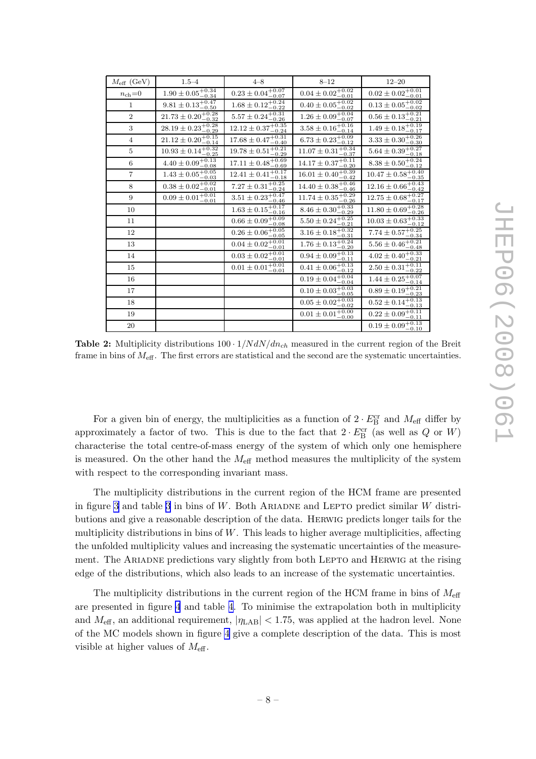<span id="page-11-0"></span>

| $M_{\text{eff}}$ (GeV) | $1.5 - 4$                                      | $4 - 8$                                                   | $8 - 12$                                    | $12 - 20$                                                |
|------------------------|------------------------------------------------|-----------------------------------------------------------|---------------------------------------------|----------------------------------------------------------|
| $n_{\rm ch} = 0$       | $1.90\pm0.05^{+0.34}_{-0.34}$                  | $0.23 \pm 0.04^{+0.07}_{-0.07}$                           | $0.04 \pm 0.02^{+0.02}_{-0.01}$             | $0.02 \pm 0.02^{+0.01}_{-0.01}$                          |
| $\mathbf{1}$           | $9.81 \pm 0.13^{+0.47}_{-0.50}$                | $1.68 \pm 0.12_{-0.22}^{+0.24}$                           | $0.40 \pm 0.05_{-0.02}^{+0.02}$             | $0.13 \pm 0.05_{-0.02}^{+0.02}$                          |
| $\overline{2}$         | $21.73 \pm 0.20^{+0.28}_{-0.32}$               | $5.57 \pm 0.24_{-0.26}^{+0.31}$<br>$-0.26$                | $1.26 \pm 0.09_{-0.07}^{+0.04}$             | $0.56 \pm 0.13 \overline{{}_{-0.21}^{+0.21}}$<br>$-0.21$ |
| 3                      | $28.19 \pm 0.23_{-0.29}^{+0.28}$               | $12.12 \pm 0.37_{-0.24}^{+0.35}$                          | $3.58 \pm 0.16_{-0.14}^{+0.16}$             | $1.49 \pm 0.18_{-0.17}^{+0.19}$                          |
| $\overline{4}$         | $21.12 \pm 0.20^{+0.15}_{-0.14}$               | $17.68 \pm 0.47^{+0.31}_{-0.40}$                          | $6.73 \pm 0.23_{-0.12}^{+0.09}$             | $3.33\pm 0.30^{+0.26}_{-0.30}$                           |
| 5                      | $10.93 \pm 0.14\frac{+0.32}{-0.25}$<br>$-0.25$ | $19.78 \pm 0.51 \overline{{}_{-0.21}^{+0.21}}$<br>$-0.29$ | $11.07 \pm 0.31_{-0.37}^{+0.34}$<br>$-0.37$ | $5.64 \pm 0.39_{-0.18}^{+0.27}$<br>$-0.18$               |
| 6                      | $4.40 \pm 0.09_{-0.08}^{+0.13}$<br>$-0.08$     | $17.11 \pm 0.48_{-0.69}^{+0.69}$<br>$-0.69$               | $14.17 \pm 0.37^{+0.11}_{-0.20}$            | $8.38 \pm 0.50^{+0.24}_{-0.12}$                          |
| $\overline{7}$         | $1.43 \pm 0.05^{+0.05}_{-0.03}$                | $12.41 \pm 0.41_{-0.18}^{+0.17}$                          | $16.01 \pm 0.40^{+0.39}_{-0.42}$            | $10.47 \pm 0.58^{+0.40}_{-0.35}$                         |
| 8                      | $0.38 \pm 0.02^{+0.02}_{-0.01}$                | $7.27 \pm 0.31_{-0.24}^{+0.25}$                           | $14.40 \pm 0.38_{-0.46}^{+0.46}$            | $12.16 \pm 0.66_{-0.42}^{+0.43}$                         |
| 9                      | $0.09 \pm 0.01^{+0.01}_{-0.01}$                | $3.51 \pm 0.23 \frac{+0.47}{-0.46}$<br>$-0.46$            | $11.74 \pm 0.35_{-0.28}^{+0.29}$<br>$-0.26$ | $12.75 \pm 0.68^{+0.27}_{-0.17}$<br>$-0.17$              |
| 10                     |                                                | $1.63 \pm 0.15_{-0.16}^{+0.17}$                           | $8.46 \pm 0.30^{+0.33}_{-0.29}$             | $11.80 \pm 0.69_{-0.26}^{+0.28}$                         |
| 11                     |                                                | $0.66 \pm 0.09_{-0.08}^{+0.09}$                           | $5.50 \pm 0.24_{-0.21}^{+0.25}$             | $10.03 \pm 0.63_{-0.12}^{+0.33}$                         |
| 12                     |                                                | $0.26\pm0.06^{+0.05}_{-0.05}$                             | $3.16 \pm 0.18 {}^{+0.32}_{-0.31}$          | $7.74 \pm 0.57^{+0.25}_{-0.34}$                          |
| 13                     |                                                | $0.04 \pm 0.02^{+0.01}_{-0.01}$                           | $1.76 \pm 0.13_{-0.20}^{+0.24}$             | $5.56 \pm 0.46_{-0.48}^{+0.21}$                          |
| 14                     |                                                | $0.03 \pm 0.02^{+0.01}_{-0.01}$                           | $0.94 \pm 0.09_{-0.11}^{+0.13}$             | $4.02 \pm 0.40^{+0.33}_{-0.21}$                          |
| 15                     |                                                | $0.01 \pm 0.01^{+0.01}_{-0.01}$                           | $0.41 \pm 0.06_{-0.12}^{+0.13}$             | $2.50\pm0.31^{+0.11}_{-0.22}$                            |
| 16                     |                                                |                                                           | $0.19 \pm 0.04_{-0.04}^{+0.04}$             | $1.44 \pm 0.25^{+0.07}_{-0.14}$                          |
| 17                     |                                                |                                                           | $0.10 \pm 0.03^{+0.03}_{-0.05}$             | $0.89 \pm 0.19_{-0.23}^{+0.21}$<br>$-0.23$               |
| 18                     |                                                |                                                           | $0.05 \pm 0.02^{+0.03}_{-0.02}$             | $0.52\pm0.14^{+0.13}_{-0.13}$                            |
| 19                     |                                                |                                                           | $0.01 \pm 0.01^{+0.00}_{-0.00}$             | $0.22 \pm 0.09_{-0.11}^{+0.11}$                          |
| $20\,$                 |                                                |                                                           |                                             | $0.19 \pm 0.09_{-0.10}^{+0.13}$                          |

**Table 2:** Multiplicity distributions  $100 \cdot 1/N dN/dn_{ch}$  measured in the current region of the Breit frame in bins of  $M_{\text{eff}}$ . The first errors are statistical and the second are the systematic uncertainties.

For a given bin of energy, the multiplicities as a function of  $2 \cdot E_{\rm B}^{\rm cr}$  and  $M_{\rm eff}$  differ by approximately a factor of two. This is due to the fact that  $2 \cdot E_{\text{B}}^{\text{cr}}$  (as well as Q or W) characterise the total centre-of-mass energy of the system of which only one hemisphere is measured. On the other hand the  $M_{\text{eff}}$  method measures the multiplicity of the system with respect to the corresponding invariant mass.

The multiplicity distributions in the current region of the HCM frame are presented in figure [3](#page-14-0) and table 3 in bins of  $W$ . Both ARIADNE and LEPTO predict similar  $W$  distributions and give a reasonable description of the data. Herwig predicts longer tails for the multiplicity distributions in bins of  $W$ . This leads to higher average multiplicities, affecting the unfolded multiplicity values and increasing the systematic uncertainties of the measurement. The ARIADNE predictions vary slightly from both LEPTO and HERWIG at the rising edge of the distributions, which also leads to an increase of the systematic uncertainties.

The multiplicity distributions in the current region of the HCM frame in bins of  $M_{\text{eff}}$ are presented in figure [4](#page-15-0) and table [4](#page-16-0). To minimise the extrapolation both in multiplicity and  $M_{\text{eff}}$ , an additional requirement,  $|\eta_{\text{LAB}}| < 1.75$ , was applied at the hadron level. None of the MC models shown in figure [4](#page-15-0) give a complete description of the data. This is most visible at higher values of  $M_{\text{eff}}$ .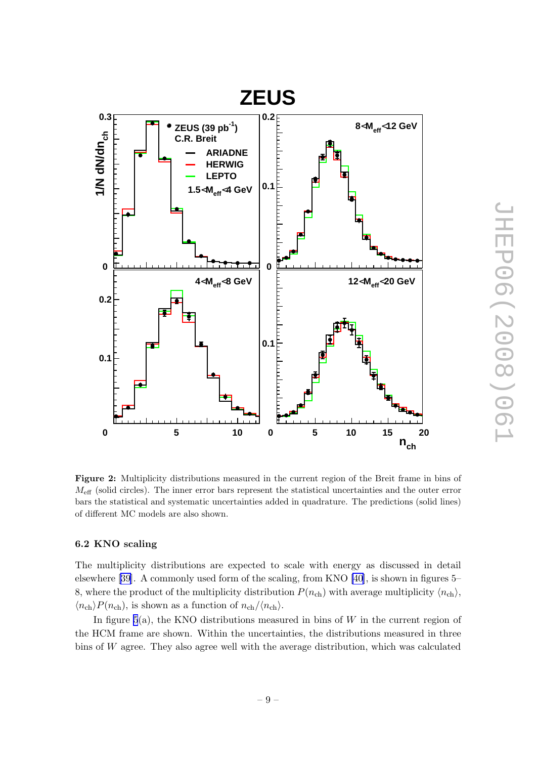<span id="page-12-0"></span>

Figure 2: Multiplicity distributions measured in the current region of the Breit frame in bins of  $M_{\text{eff}}$  (solid circles). The inner error bars represent the statistical uncertainties and the outer error bars the statistical and systematic uncertainties added in quadrature. The predictions (solid lines) of different MC models are also shown.

#### 6.2 KNO scaling

The multiplicity distributions are expected to scale with energy as discussed in detail elsewhere [\[39\]](#page-34-0). A commonly used form of the scaling, from KNO [\[40](#page-35-0)], is shown in figures 5– 8, where the product of the multiplicity distribution  $P(n_{ch})$  with average multiplicity  $\langle n_{ch} \rangle$ ,  $\langle n_{\text{ch}}\rangle P(n_{\text{ch}})$ , is shown as a function of  $n_{\text{ch}}/\langle n_{\text{ch}}\rangle$ .

In figure  $5(a)$ , the KNO distributions measured in bins of W in the current region of the HCM frame are shown. Within the uncertainties, the distributions measured in three bins of W agree. They also agree well with the average distribution, which was calculated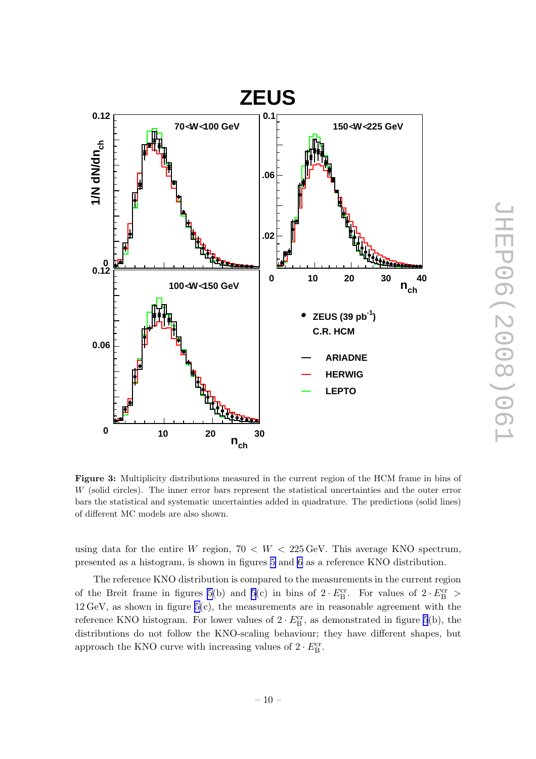<span id="page-13-0"></span>

Figure 3: Multiplicity distributions measured in the current region of the HCM frame in bins of W (solid circles). The inner error bars represent the statistical uncertainties and the outer error bars the statistical and systematic uncertainties added in quadrature. The predictions (solid lines) of different MC models are also shown.

using data for the entire W region,  $70 < W < 225$  GeV. This average KNO spectrum, presented as a histogram, is shown in figures [5](#page-17-0) and [6](#page-18-0) as a reference KNO distribution.

The reference KNO distribution is compared to the measurements in the current region of the Breit frame in figures [5\(](#page-17-0)b) and [5](#page-17-0)(c) in bins of  $2 \cdot E_{\rm B}^{\rm cr}$ . For values of  $2 \cdot E_{\rm B}^{\rm cr}$  >  $12 \,\text{GeV}$ , as shown in figure  $5(c)$ , the measurements are in reasonable agreement with the reference KNO histogram. For lower values of  $2 \cdot E_{\rm B}^{\rm cr}$ , as demonstrated in figure [5](#page-17-0)(b), the distributions do not follow the KNO-scaling behaviour; they have different shapes, but approach the KNO curve with increasing values of  $2 \cdot E_{\rm B}^{\rm cr}$ .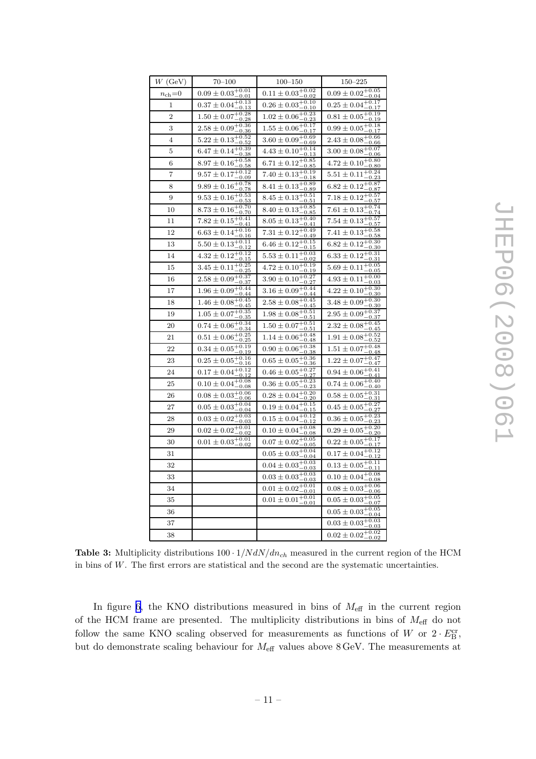<span id="page-14-0"></span>

| $W$ (GeV)        | $70 - 100$                                                            | $100 - 150$                                                                                                | $150 - 225$                                  |
|------------------|-----------------------------------------------------------------------|------------------------------------------------------------------------------------------------------------|----------------------------------------------|
| $n_{\rm ch} = 0$ | $0.09 \pm 0.03 \overline{+0.01 \over 0.01}$<br>$-0.01$                | $0.11 \pm 0.03 \frac{+0.02}{-0.02}$<br>$-0.02$                                                             | $0.09 \pm 0.02_{ -0.04}^{ +0.05}$<br>$-0.04$ |
| 1                | $0.37 \pm 0.04_{-0.12}^{+0.13}$<br>-0.13                              | $0.26 \pm 0.03_{-0.10}^{+0.10}$<br>$-0.10$                                                                 | $0.25 \pm 0.04_{ -0.17}^{ +0.17}$<br>-0.17   |
| $\overline{2}$   | $1.50 \pm 0.07^{+0.28}_{-0.28}$                                       | $1.02\pm0.06^{+0.23}_{-0.23}$                                                                              | $0.81 \pm 0.05^{+0.19}_{-0.19}$              |
| 3                | $2.58 \pm 0.09_{-0.36}^{+0.36}$                                       | $1.55 \pm 0.06_{-0.17}^{+0.17}$                                                                            | $0.99 \pm 0.05_{-0.17}^{+0.18}$              |
| 4                | $5.22 \pm 0.13_{-0.52}^{+0.52}$                                       | $3.60 \pm 0.09_{-0.69}^{+0.69}$                                                                            | $2.43 \pm 0.08^{+0.66}_{-0.66}$              |
| 5                | $6.47 \pm 0.14_{-0.38}^{+0.39}$                                       | $4.43 \pm 0.10^{+0.14}_{-0.13}$                                                                            | $3.00 \pm 0.08_{-0.08}^{+0.07}$              |
| 6                | $8.97 \pm 0.16_{-0.58}^{+0.58}$                                       | $6.71 \pm 0.12_{-0.85}^{+0.85}$                                                                            | $4.72 \pm 0.10^{+0.80}_{-0.80}$              |
| 7                | $9.57 \pm 0.17_{-0.09}^{+0.12}$                                       | $7.40 \pm 0.13_{-0.18}^{+0.19}$                                                                            | $5.51 \pm 0.11_{-0.22}^{+0.24}$              |
| 8                | $9.89 \pm 0.16^{+0.78}_{-0.78}$                                       | $8.41 \pm 0.13_{-0.89}^{+0.89}$                                                                            | $6.82 \pm 0.12^{+0.87}_{-0.87}$              |
| 9                | $\frac{9.53 \pm 0.16_{-0.53}^{+0.53}}{8.73 \pm 0.16_{-0.70}^{+0.70}}$ | $8.45 \pm 0.13_{-0.51}^{+0.51}$                                                                            | $7.18 \pm 0.12_{-0.57}^{+0.57}$              |
| 10               |                                                                       | $8.40 \pm 0.13_{-0.85}^{+0.85}$                                                                            | $7.61 \pm 0.13_{-0.74}^{+0.74}$              |
| 11               | $7.82 \pm 0.15_{-0.41}^{+0.41}$                                       | $8.05 \pm 0.13_{-0.41}^{+0.40}$                                                                            | $7.54 \pm 0.13_{-0.57}^{+0.57}$              |
| 12               | $6.63 \pm 0.14_{-0.16}^{+0.16}$                                       | $7.31 \pm 0.12 \overline{+0.49}$                                                                           | $7.41 \pm 0.13 \frac{+0.58}{-0.58}$          |
| 13               | $5.50 \pm 0.13_{-0.12}^{+0.11}$                                       | $6.46 \pm 0.12^{+0.15}_{-0.15}$                                                                            | $6.82 \pm 0.12^{+0.30}_{-0.30}$              |
| 14               | $4.32 \pm 0.12_{-0.15}^{+0.12}$                                       | $5.53 \pm 0.11^{+0.03}_{-0.02}$                                                                            | $6.33 \pm 0.12_{-0.31}^{+0.31}$              |
| 15               | $3.45 \pm 0.11_{ -0.25}^{ +0.25}$<br>-0.25                            | $4.72\pm0.10^{+0.19}_{-0.19}$                                                                              | $5.69 \pm 0.11^{+0.05}_{-0.05}$<br>-0.05     |
| 16               | $2.58 \pm 0.09_{-0.37}^{+0.37}$                                       | $3.90 \pm 0.10^{+0.27}_{-0.27}$                                                                            | $4.93\pm0.11^{+0.00}_{-0.03}$                |
| 17               | $1.96 \pm 0.09_{-0.44}^{+0.44}$                                       | $3.16 \pm 0.09_{-0.44}^{+0.44}$                                                                            | $4.22 \pm 0.10^{+0.30}_{-0.30}$              |
| 18               | $1.46 \pm 0.08^{+0.45}_{-0.42}$                                       | $2.58 \pm 0.08^{+0.45}_{-0.47}$<br>-0.45                                                                   | $3.48 \pm 0.09^{+0.30}_{-0.22}$<br>-0.30     |
| 19               | $1.05 \pm 0.07^{+0.35}_{-0.25}$                                       | $1.98 \pm 0.08_{-0.51}^{+0.51}$                                                                            | $2.95 \pm 0.09_{-0.27}^{+0.37}$<br>-0.37     |
| 20               | $0.74 \pm 0.06_{ -0.94}^{ +0.34}$                                     | $1.50 \pm 0.07\frac{+0.51}{-0.51}$                                                                         | $2.32 \pm 0.08_{ -0.45}^{ +0.45}$            |
| 21               | $0.51 \pm 0.06_{-0.25}^{+0.25}$                                       | $1.14 \pm 0.06_{-0.48}^{+0.48}$                                                                            | $1.91 \pm 0.08_{-0.52}^{+0.52}$              |
| 22               | $0.34 \pm 0.05_{-0.10}^{+0.19}$<br>$-0.19$                            | $0.90 \pm 0.06_{-0.38}^{+0.38}$<br>-0.38                                                                   | $1.51 \pm 0.07^{+0.48}_{-0.49}$<br>-0.48     |
| 23               | $\frac{0.25 \pm 0.05^{+0.16}_{-0.16}}{0.17 \pm 0.04^{+0.12}_{-0.12}}$ | $\begin{array}{c} 0.65 \pm 0.05 {}^{+0.36}_{-0.36} \\ \hline 0.46 \pm 0.05 {}^{+0.27}_{-0.27} \end{array}$ | $1.22 \pm 0.07^{+0.47}_{-0.47}$              |
| 24               |                                                                       |                                                                                                            | $0.94\pm0.06^{+0.41}_{-0.41}$                |
| 25               | $0.10\pm0.04^{+0.08}_{-0.08}$                                         | $0.36 \pm 0.05_{-0.23}^{+0.23}$                                                                            | $0.74 \pm 0.06^{+0.40}_{-0.40}$              |
| 26               | $0.08 \pm 0.03_{-0.08}^{+0.06}$<br>$-0.06$                            | $0.28 \pm 0.04_{-0.20}^{+0.20}$                                                                            | $0.58 \pm 0.05_{-0.31}^{+0.31}$<br>$-0.31$   |
| 27               | $0.05 \pm 0.03_{0.04}^{+0.04}$<br>0.04                                | $0.19 \pm 0.04^{+0.15}_{-0.12}$                                                                            | $0.45 \pm 0.05_{-0.27}^{+0.27}$              |
| 28               | $0.03 \pm 0.02^{+0.03}_{-0.03}$                                       | $0.15 \pm 0.04_{-0.12}^{+0.12}$                                                                            | $0.36 \pm 0.05_{-0.23}^{+0.23}$              |
| 29               | $0.02 \pm 0.02^{+0.01}_{-0.02}$<br>$-0.02$                            | $0.10\pm0.04^{+0.08}_{-0.08}$                                                                              | $0.29 \pm 0.05 {}^{+0.20}_{-0.20}$           |
| 30               | $0.01 \pm 0.03_{-0.02}^{+0.01}$                                       | $0.07\pm0.02^{+0.05}_{-0.05}$                                                                              | $0.22 \pm 0.05_{-0.17}^{+0.17}$              |
| 31               |                                                                       | $\frac{0.05 \pm 0.03^{+0.04}_{-0.04}}{0.03^{+0.04}_{-0.04}}$                                               | $0.17 \pm 0.04_{-0.12}^{+0.12}$              |
| 32               |                                                                       | $0.04 \pm 0.03_{-0.03}^{+0.03}$                                                                            | $0.13 \pm 0.05_{-0.11}^{+0.11}$              |
| 33               |                                                                       | $0.03 \pm 0.03^{+0.03}_{-0.02}$                                                                            | $0.10 \pm 0.04_{-0.08}^{+0.08}$              |
| 34               |                                                                       | $0.01 \pm 0.02^{+0.01}_{-0.01}$                                                                            | $0.08 \pm 0.03_{-0.06}^{+0.06}$              |
| 35               |                                                                       | $0.01 \pm 0.01^{+0.01}_{-0.01}$                                                                            | $0.05 \pm 0.03_{-0.07}^{+0.05}$              |
| 36               |                                                                       |                                                                                                            | $0.05 \pm 0.03^{+0.05}_{-0.04}$<br>-0.04     |
| 37               |                                                                       |                                                                                                            | $0.03\pm0.03^{+0.03}_{-0.03}$                |
| 38               |                                                                       |                                                                                                            | $0.02 \pm 0.02^{+0.02}_{-0.02}$              |

Table 3: Multiplicity distributions  $100 \cdot 1/N dN/dn_{ch}$  measured in the current region of the HCM in bins of W. The first errors are statistical and the second are the systematic uncertainties.

In figure [6](#page-18-0), the KNO distributions measured in bins of  $M_{\text{eff}}$  in the current region of the HCM frame are presented. The multiplicity distributions in bins of  $M_{\text{eff}}$  do not follow the same KNO scaling observed for measurements as functions of W or  $2 \cdot E_{\rm B}^{\rm cr}$ , but do demonstrate scaling behaviour for  $M_{\text{eff}}$  values above 8 GeV. The measurements at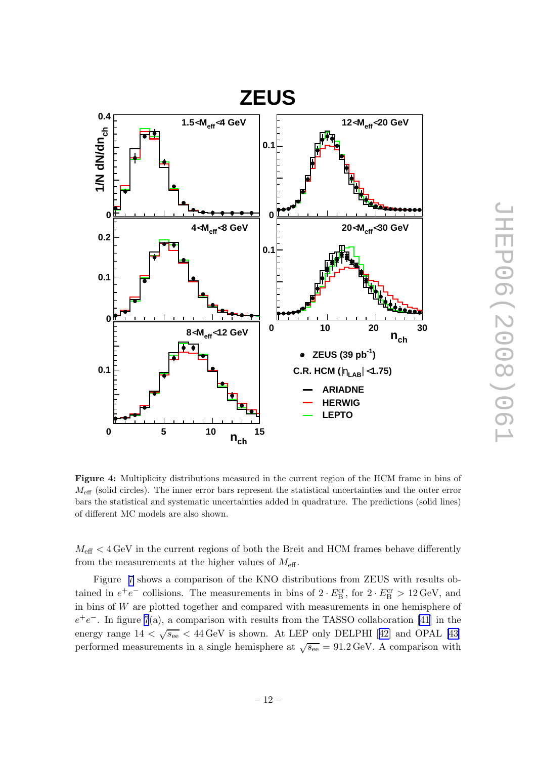<span id="page-15-0"></span>

Figure 4: Multiplicity distributions measured in the current region of the HCM frame in bins of  $M_{\text{eff}}$  (solid circles). The inner error bars represent the statistical uncertainties and the outer error bars the statistical and systematic uncertainties added in quadrature. The predictions (solid lines) of different MC models are also shown.

 $M_{\text{eff}} < 4 \,\text{GeV}$  in the current regions of both the Breit and HCM frames behave differently from the measurements at the higher values of  $M_{\text{eff}}$ .

Figure [7](#page-19-0) shows a comparison of the KNO distributions from ZEUS with results obtained in  $e^+e^-$  collisions. The measurements in bins of  $2 \cdot E_B^{\text{cr}}$ , for  $2 \cdot E_B^{\text{cr}} > 12 \,\text{GeV}$ , and in bins of W are plotted together and compared with measurements in one hemisphere of  $e^+e^-$ . In figure [7](#page-19-0)(a), a comparison with results from the TASSO collaboration [\[41](#page-35-0)] in the energyrange  $14 < \sqrt{s_{ee}} < 44 \,\text{GeV}$  is shown. At LEP only DELPHI [[42\]](#page-35-0) and OPAL [\[43\]](#page-35-0) performed measurements in a single hemisphere at  $\sqrt{s_{ee}} = 91.2 \,\text{GeV}$ . A comparison with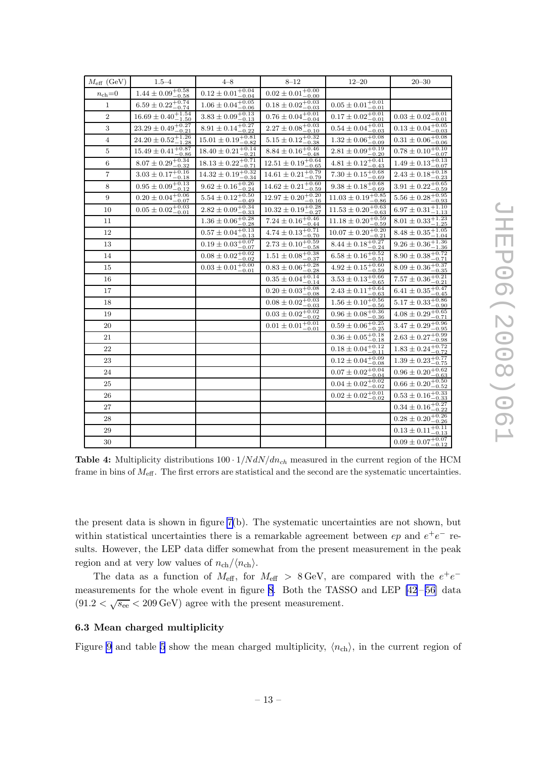<span id="page-16-0"></span>

| $M_{\text{eff}}$ (GeV) | $1.5 - 4$                                  | $4 - 8$                          | $8 - 12$                         | $12 - 20$                         | $20 - 30$                                   |
|------------------------|--------------------------------------------|----------------------------------|----------------------------------|-----------------------------------|---------------------------------------------|
| $n_{\rm ch}{=}0$       | $1.44\pm0.09^{+0.58}_{-0.58}$              | $0.12 \pm 0.01^{+0.04}_{-0.04}$  | $0.02 \pm 0.01^{+0.00}_{-0.00}$  |                                   |                                             |
| $\mathbf{1}$           | $6.59 \pm 0.22^{+0.74}_{-0.74}$            | $1.06 \pm 0.04^{+0.05}_{-0.06}$  | $0.18 \pm 0.02^{+0.03}_{-0.03}$  | $0.05 \pm 0.01^{+0.01}_{-0.01}$   |                                             |
| $\overline{2}$         | $16.69 \pm 0.40^{+1.54}_{-1.50}$           | $3.83\pm0.09^{+0.13}_{-0.13}$    | $0.76 \pm 0.04_{-0.04}^{+0.01}$  | $0.17 \pm 0.02^{+0.01}_{-0.01}$   | $0.03\pm0.02^{+0.01}_{-0.01}$               |
| 3                      | $23.29 \pm 0.49_{-0.21}^{+0.27}$           | $8.91 \pm 0.14_{-0.22}^{+0.27}$  | $2.27 \pm 0.08^{+0.03}_{-0.10}$  | $0.54 \pm 0.04^{+0.01}_{-0.03}$   | $0.13 \pm 0.04^{+0.05}_{-0.03}$             |
| 4                      | $\overline{24.20\pm 0.52^{+1.26}_{-1.28}}$ | $15.01 \pm 0.19_{-0.82}^{+0.81}$ | $5.15 \pm 0.12_{-0.38}^{+0.32}$  | $1.32 \pm 0.06_{-0.09}^{+0.08}$   | $0.31 \pm 0.06_{-0.06}^{+0.08}$             |
| 5                      | $15.49 \pm 0.41^{+0.87}_{-0.86}$           | $18.40 \pm 0.21^{+0.14}_{-0.21}$ | $8.84 \pm 0.16_{-0.48}^{+0.46}$  | $2.81 \pm 0.09^{+0.19}_{-0.20}$   | $0.78 \pm 0.10^{+0.10}_{-0.07}$             |
| 6                      | $8.07\pm0.29^{+0.34}_{-0.32}$              | $18.13 \pm 0.22^{+0.71}_{-0.71}$ | $12.51 \pm 0.19_{-0.65}^{+0.64}$ | $4.81 \pm 0.12_{-0.43}^{+0.41}$   | $1.49 \pm 0.13_{-0.07}^{+0.13}$             |
| $\overline{7}$         | $3.03 \pm 0.17_{-0.18}^{+0.16}$            | $14.32 \pm 0.19_{-0.34}^{+0.32}$ | $14.61 \pm 0.21^{+0.79}_{-0.79}$ | $7.30 \pm 0.15_{-0.69}^{+0.68}$   | $2.43 \pm 0.18_{-0.23}^{+0.18}$             |
| 8                      | $0.95\pm0.09^{+0.13}_{-0.12}$              | $9.62 \pm 0.16_{-0.24}^{+0.26}$  | $14.62 \pm 0.21^{+0.60}_{-0.59}$ | $9.38 \pm 0.18^{+0.68}_{-0.69}$   | $3.91 \pm 0.22^{+0.65}_{-0.59}$             |
| 9                      | $0.20 \pm 0.04^{+0.06}_{-0.07}$            | $5.54\pm0.12^{+0.50}_{-0.49}$    | $12.97\pm0.20^{+0.20}_{-0.16}$   | $11.03 \pm 0.19_{-0.86}^{+0.85}$  | $5.56\pm0.28^{+0.95}_{-0.93}$               |
| 10                     | $0.05\pm0.02^{+0.03}_{-0.01}$              | $2.82 \pm 0.09_{-0.33}^{+0.34}$  | $10.32 \pm 0.19_{-0.27}^{+0.28}$ | $11.53\pm0.20{+0.63\atop-0.63}$   | $6.97 \pm 0.31_{-1.13}^{+1.10}$             |
| 11                     |                                            | $1.36 \pm 0.06_{-0.28}^{+0.28}$  | $7.24 \pm 0.16_{-0.44}^{+0.46}$  | $11.18 \pm 0.20 ^{+0.59}_{-0.59}$ | $8.01 \pm 0.33_{-1.25}^{+1.23}$             |
| 12                     |                                            | $0.57\pm0.04^{+0.13}_{-0.13}$    | $4.74 \pm 0.13_{-0.70}^{+0.71}$  | $10.07 \pm 0.20^{+0.20}_{-0.21}$  | $8.48 \pm 0.35 {}^{+ 1.05}_{- 1.04}$        |
| 13                     |                                            | $0.19 \pm 0.03^{+0.07}_{-0.07}$  | $2.73\pm0.10^{+0.59}_{-0.58}$    | $8.44 \pm 0.18_{-0.24}^{+0.27}$   | $\frac{0.1}{9.26 \pm 0.36_{-1.36}^{+1.36}}$ |
| 14                     |                                            | $0.08\pm0.02^{+0.02}_{-0.02}$    | $1.51 \pm 0.08_{-0.37}^{+0.38}$  | $6.58 \pm 0.16_{-0.51}^{+0.52}$   | $8.90 \pm 0.38_{-0.71}^{+0.72}$             |
| 15                     |                                            | $0.03 \pm 0.01^{+0.00}_{-0.01}$  | $0.83 \pm 0.06_{-0.28}^{+0.28}$  | $4.92 \pm 0.15^{+0.60}_{-0.59}$   | $8.09 \pm 0.36_{-0.35}^{+0.37}$             |
| 16                     |                                            |                                  | $0.35\pm0.04^{+0.14}_{-0.14}$    | $3.53\pm0.13^{+0.66}_{-0.65}$     | $7.57 \pm 0.36_{-0.21}^{+0.21}$             |
| 17                     |                                            |                                  | $0.20 \pm 0.03_{-0.08}^{+0.08}$  | $2.43 \pm 0.11_{-0.63}^{+0.64}$   | $6.41 \pm 0.35_{-0.45}^{+0.47}$             |
| 18                     |                                            |                                  | $0.08\pm0.02^{+0.03}_{-0.03}$    | $1.56\pm0.10^{+0.56}_{-0.56}$     | $5.17 \pm 0.33^{+0.86}_{-0.90}$             |
| 19                     |                                            |                                  | $0.03\pm0.02^{+0.02}_{-0.02}$    | $0.96\pm0.08^{+0.36}_{-0.36}$     | $4.08 \pm 0.29_{-0.71}^{+0.65}$             |
| 20                     |                                            |                                  | $0.01 \pm 0.01^{+0.01}_{-0.01}$  | $0.59\pm0.06^{+0.25}_{-0.25}$     | $3.47\pm0.29^{+0.96}_{-0.95}$               |
| 21                     |                                            |                                  |                                  | $0.36\pm0.05^{+0.18}_{-0.18}$     | $2.63\pm0.27^{+0.99}_{-0.98}$               |
| 22                     |                                            |                                  |                                  | $0.18 \pm 0.04_{-0.11}^{+0.12}$   | $1.83 \pm 0.24_{-0.72}^{+0.72}$             |
| 23                     |                                            |                                  |                                  | $0.12\pm0.04^{+0.09}_{-0.08}$     | $1.39\pm0.23^{+0.77}_{-0.75}$               |
| 24                     |                                            |                                  |                                  | $0.07 \pm 0.02^{+0.04}_{-0.04}$   | $0.96\pm0.20^{+0.62}_{-0.63}$               |
| 25                     |                                            |                                  |                                  | $0.04\pm0.02^{+0.02}_{-0.02}$     | $0.66 \pm 0.20 ^{+0.50}_{-0.52}$            |
| 26                     |                                            |                                  |                                  | $0.02 \pm 0.02^{+0.01}_{-0.02}$   | $0.53\pm0.16^{+0.33}_{-0.33}$               |
| 27                     |                                            |                                  |                                  |                                   | $0.34 \pm 0.16_{-0.22}^{+0.27}$             |
| 28                     |                                            |                                  |                                  |                                   | $0.28\pm0.20^{+0.26}_{-0.26}$               |
| 29                     |                                            |                                  |                                  |                                   | $0.13 \pm 0.11_{-0.13}^{+0.11}$             |
| 30                     |                                            |                                  |                                  |                                   | $0.09\pm0.07^{+0.07}_{-0.12}$               |

**Table 4:** Multiplicity distributions  $100 \cdot 1/N dN/dn_{ch}$  measured in the current region of the HCM frame in bins of  $M_{\text{eff}}$ . The first errors are statistical and the second are the systematic uncertainties.

the present data is shown in figure [7\(](#page-19-0)b). The systematic uncertainties are not shown, but within statistical uncertainties there is a remarkable agreement between  $ep$  and  $e^+e^-$  results. However, the LEP data differ somewhat from the present measurement in the peak region and at very low values of  $n_{\text{ch}}/\langle n_{\text{ch}}\rangle$ .

The data as a function of  $M_{\text{eff}}$ , for  $M_{\text{eff}} > 8 \text{ GeV}$ , are compared with the  $e^+e^-$ measurements for the whole event in figure [8](#page-20-0). Both the TASSO and LEP [\[42](#page-35-0)-56] data  $(91.2 < \sqrt{s_{ee}} < 209 \,\text{GeV})$  agree with the present measurement.

#### 6.3 Mean charged multiplicity

Figure [9](#page-21-0) and table [5](#page-18-0) show the mean charged multiplicity,  $\langle n_{\text{ch}} \rangle$ , in the current region of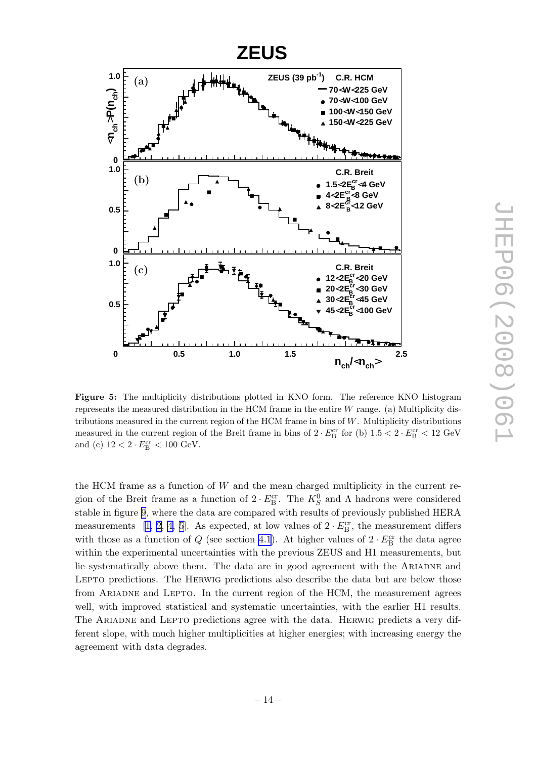<span id="page-17-0"></span>

Figure 5: The multiplicity distributions plotted in KNO form. The reference KNO histogram represents the measured distribution in the HCM frame in the entire W range. (a) Multiplicity distributions measured in the current region of the HCM frame in bins of  $W$ . Multiplicity distributions measured in the current region of the Breit frame in bins of  $2 \cdot E_B^{\text{cr}}$  for (b)  $1.5 < 2 \cdot E_B^{\text{cr}} < 12 \text{ GeV}$ and (c)  $12 < 2 \cdot E_B^{\text{cr}} < 100 \text{ GeV}.$ 

the HCM frame as a function of  $W$  and the mean charged multiplicity in the current region of the Breit frame as a function of  $2 \cdot E_{\text{B}}^{\text{cr}}$ . The  $K_S^0$  and  $\Lambda$  hadrons were considered stable in figure [9](#page-21-0), where the data are compared with results of previously published HERA measurements [\[1, 2](#page-32-0), [4, 5](#page-33-0)]. As expected, at low values of  $2 \cdot E_{\rm B}^{\rm cr}$ , the measurement differs with those as a function of  $Q$  (see section [4.1](#page-7-0)). At higher values of  $2 \cdot E_{\text{B}}^{\text{cr}}$  the data agree within the experimental uncertainties with the previous ZEUS and H1 measurements, but lie systematically above them. The data are in good agreement with the ARIADNE and Lepto predictions. The Herwig predictions also describe the data but are below those from Ariadne and Lepto. In the current region of the HCM, the measurement agrees well, with improved statistical and systematic uncertainties, with the earlier H1 results. The Ariadne and Lepto predictions agree with the data. Herwig predicts a very different slope, with much higher multiplicities at higher energies; with increasing energy the agreement with data degrades.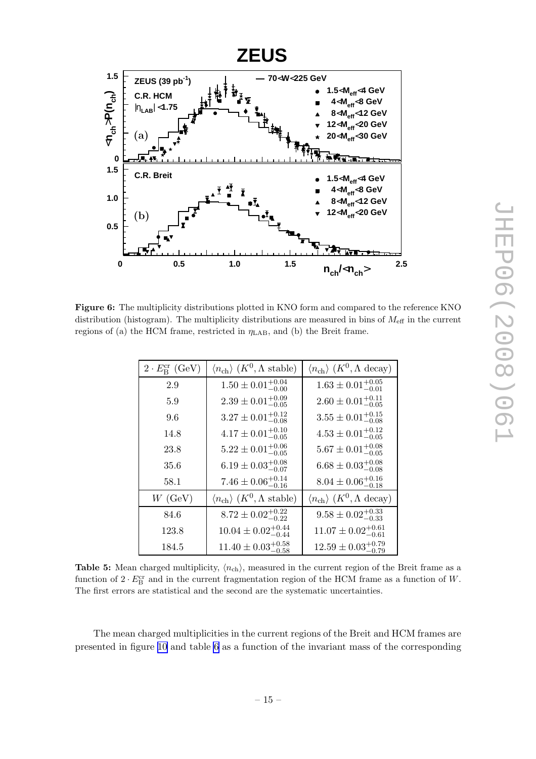<span id="page-18-0"></span>

Figure 6: The multiplicity distributions plotted in KNO form and compared to the reference KNO distribution (histogram). The multiplicity distributions are measured in bins of  $M_{\text{eff}}$  in the current regions of (a) the HCM frame, restricted in  $\eta_{\rm LAB}$ , and (b) the Breit frame.

| $2 \cdot E_R^{\text{cr}}$ (GeV) | $\langle n_{\text{ch}} \rangle$ $(K^0, \Lambda \text{ stable})$ | $\langle n_{\text{ch}} \rangle$ $(K^0, \Lambda \text{ decay})$ |
|---------------------------------|-----------------------------------------------------------------|----------------------------------------------------------------|
| 2.9                             | $1.50 \pm 0.01^{+0.04}_{-0.00}$                                 | $1.63 \pm 0.01^{+0.05}_{-0.01}$                                |
| 5.9                             | $2.39 \pm 0.01^{+0.09}_{-0.05}$                                 | $2.60 \pm 0.01^{+0.11}_{-0.05}$                                |
| 9.6                             | $3.27 \pm 0.01_{-0.08}^{+0.12}$                                 | $3.55 \pm 0.01^{+0.15}_{-0.08}$                                |
| 14.8                            | $4.17 \pm 0.01^{+0.10}_{-0.05}$                                 | $4.53 \pm 0.01_{-0.05}^{+0.12}$                                |
| 23.8                            | $5.22 \pm 0.01^{+0.06}_{-0.05}$                                 | $5.67 \pm 0.01^{+0.08}_{-0.05}$                                |
| 35.6                            | $6.19 \pm 0.03_{-0.07}^{+0.08}$                                 | $6.68 \pm 0.03^{+0.08}_{-0.08}$                                |
| 58.1                            | $7.46 \pm 0.06_{-0.16}^{+0.14}$                                 | $8.04 \pm 0.06_{-0.18}^{+0.16}$                                |
| $W$ (GeV)                       | $\langle n_{\text{ch}} \rangle$ $(K^0, \Lambda \text{ stable})$ | $\langle n_{\text{ch}} \rangle$ $(K^0, \Lambda \text{ decay})$ |
| 84.6                            | $8.72 \pm 0.02_{-0.22}^{+0.22}$                                 | $9.58 \pm 0.02^{+0.33}_{-0.33}$                                |
| 123.8                           | $10.04 \pm 0.02^{+0.44}_{-0.44}$                                | $11.07 \pm 0.02^{+0.61}_{-0.61}$                               |
| 184.5                           | $11.40 \pm 0.03_{-0.58}^{+0.58}$                                | $12.59 \pm 0.03_{-0.79}^{+0.79}$                               |

Table 5: Mean charged multiplicity,  $\langle n_{ch} \rangle$ , measured in the current region of the Breit frame as a function of  $2 \cdot E_B^{\text{cr}}$  and in the current fragmentation region of the HCM frame as a function of W. The first errors are statistical and the second are the systematic uncertainties.

The mean charged multiplicities in the current regions of the Breit and HCM frames are presented in figure [10](#page-22-0) and table [6](#page-24-0) as a function of the invariant mass of the corresponding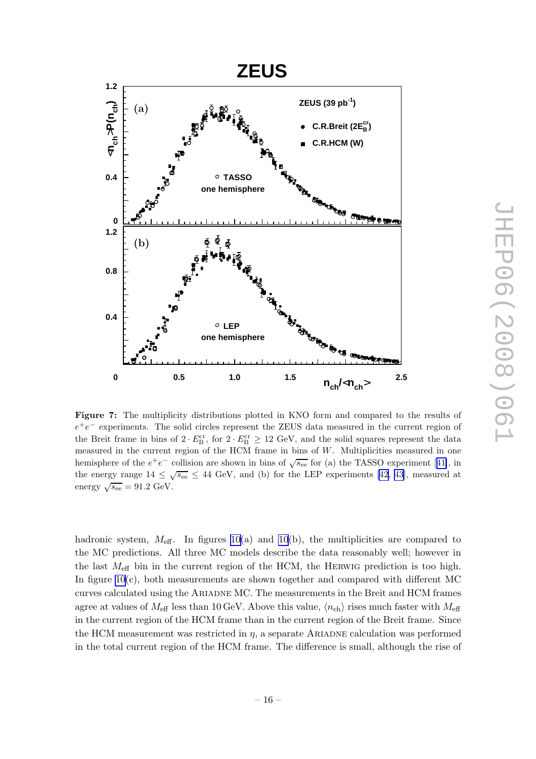<span id="page-19-0"></span>

Figure 7: The multiplicity distributions plotted in KNO form and compared to the results of  $e^+e^-$  experiments. The solid circles represent the ZEUS data measured in the current region of the Breit frame in bins of  $2 \cdot E_{\text{B}}^{\text{cr}}$ , for  $2 \cdot E_{\text{B}}^{\text{cr}} \geq 12 \text{ GeV}$ , and the solid squares represent the data measured in the current region of the HCM frame in bins of W. Multiplicities measured in one hemisphereof the  $e^+e^-$  collision are shown in bins of  $\sqrt{s_{ee}}$  for (a) the TASSO experiment [[41\]](#page-35-0), in the energy range  $14 \leq \sqrt{s_{ee}} \leq 44$  GeV, and (b) for the LEP experiments [\[42](#page-35-0), [43](#page-35-0)], measured at energy  $\sqrt{s_{\text{ee}}} = 91.2 \text{ GeV}.$ 

hadronic system,  $M_{\text{eff}}$ . In figures [10](#page-22-0)(a) and 10(b), the multiplicities are compared to the MC predictions. All three MC models describe the data reasonably well; however in the last  $M_{\text{eff}}$  bin in the current region of the HCM, the HERWIG prediction is too high. In figure  $10(c)$ , both measurements are shown together and compared with different MC curves calculated using the Ariadne MC. The measurements in the Breit and HCM frames agree at values of  $M_{\text{eff}}$  less than 10 GeV. Above this value,  $\langle n_{\text{ch}} \rangle$  rises much faster with  $M_{\text{eff}}$ in the current region of the HCM frame than in the current region of the Breit frame. Since the HCM measurement was restricted in  $\eta$ , a separate ARIADNE calculation was performed in the total current region of the HCM frame. The difference is small, although the rise of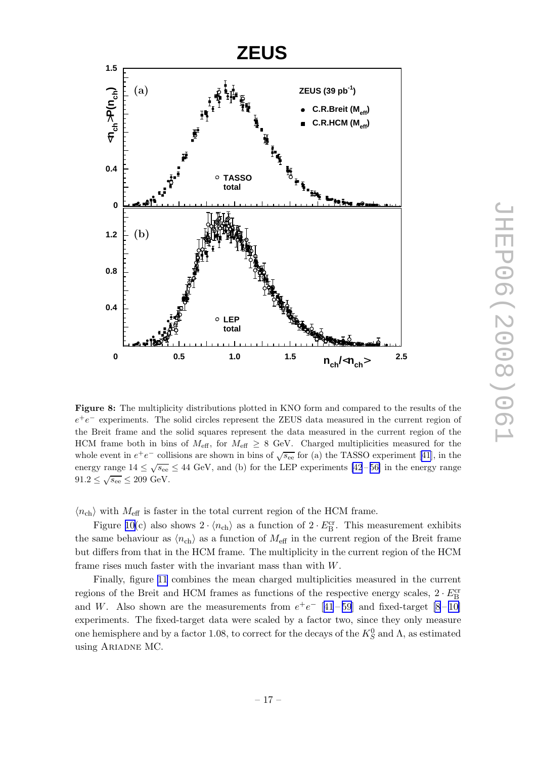<span id="page-20-0"></span>

Figure 8: The multiplicity distributions plotted in KNO form and compared to the results of the  $e^+e^-$  experiments. The solid circles represent the ZEUS data measured in the current region of the Breit frame and the solid squares represent the data measured in the current region of the HCM frame both in bins of  $M_{\text{eff}}$ , for  $M_{\text{eff}} \geq 8$  GeV. Charged multiplicities measured for the whole event in  $e^+e^-$  collisions are shown in bins of  $\sqrt{s_{\text{ee}}}$  for (a) the TASSO experiment [\[41](#page-35-0)], in the energy range  $14 \leq \sqrt{s_{\text{ee}}} \leq 44 \text{ GeV}$ , and (b) for the LEP experiments [\[42](#page-35-0)-56] in the energy range  $91.2 \leq \sqrt{s_{\text{ee}}} \leq 209 \text{ GeV}.$ 

 $\langle n_{\text{ch}} \rangle$  with  $M_{\text{eff}}$  is faster in the total current region of the HCM frame.

Figure [10\(](#page-22-0)c) also shows  $2 \cdot \langle n_{ch} \rangle$  as a function of  $2 \cdot E_B^{\text{cr}}$ . This measurement exhibits the same behaviour as  $\langle n_{ch} \rangle$  as a function of  $M_{\text{eff}}$  in the current region of the Breit frame but differs from that in the HCM frame. The multiplicity in the current region of the HCM frame rises much faster with the invariant mass than with W.

Finally, figure [11](#page-23-0) combines the mean charged multiplicities measured in the current regions of the Breit and HCM frames as functions of the respective energy scales,  $2 \cdot E_{\rm B}^{\rm cr}$ and W. Also shown are the measurements from  $e^+e^-$  [[41](#page-35-0) – [59](#page-35-0)] and fixed-target [\[8](#page-33-0) – [10\]](#page-33-0) experiments. The fixed-target data were scaled by a factor two, since they only measure one hemisphere and by a factor 1.08, to correct for the decays of the  $K_S^0$  and  $\Lambda$ , as estimated using Ariadne MC.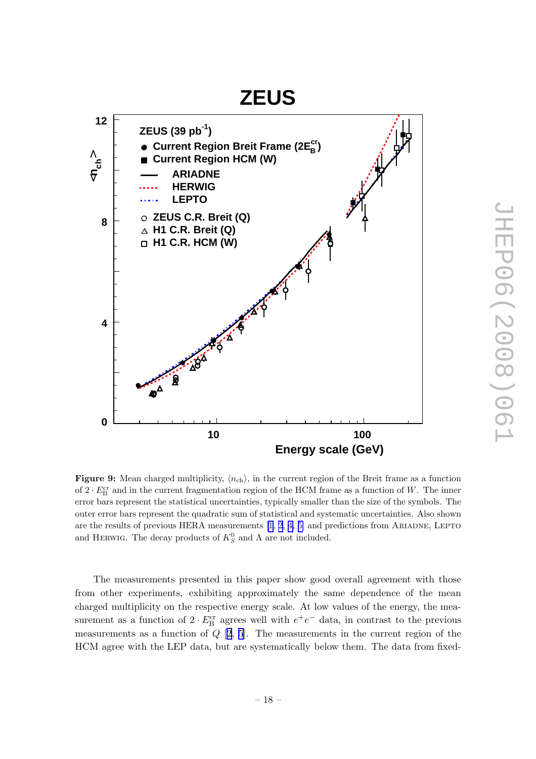## <span id="page-21-0"></span>**ZEUS 12 ZEUS (39 pb-1)**  $\mathsf{Current\ Region\ Breit\ Franc\ (2E}_\mathsf{B}^\mathsf{cr})$  $\mathbf{h}^{\mathbf{c}}$ ទ **Current Region HCM (W)**  $\blacksquare$ **ARIADNE**  $\vee$ **HERWIG LEPTO ZEUS C.R. Breit (Q) 8 H1 C.R. Breit (Q) H1 C.R. HCM (W) 4**  $48.4$ ໍຊົ **0 10 100 Energy scale (GeV)**

**Figure 9:** Mean charged multiplicity,  $\langle n_{\text{ch}} \rangle$ , in the current region of the Breit frame as a function of  $2 \cdot E_B^{\text{cr}}$  and in the current fragmentation region of the HCM frame as a function of W. The inner error bars represent the statistical uncertainties, typically smaller than the size of the symbols. The outer error bars represent the quadratic sum of statistical and systematic uncertainties. Also shown are the results of previous HERA measurements  $[1, 2, 4, 5]$  $[1, 2, 4, 5]$  $[1, 2, 4, 5]$  and predictions from ARIADNE, LEPTO and HERWIG. The decay products of  $K_S^0$  and  $\Lambda$  are not included.

The measurements presented in this paper show good overall agreement with those from other experiments, exhibiting approximately the same dependence of the mean charged multiplicity on the respective energy scale. At low values of the energy, the measurement as a function of  $2 \cdot E_{\text{B}}^{\text{cr}}$  agrees well with  $e^+e^-$  data, in contrast to the previous measurements as a function of  $Q$  [[2](#page-32-0), [5](#page-33-0)]. The measurements in the current region of the HCM agree with the LEP data, but are systematically below them. The data from fixed-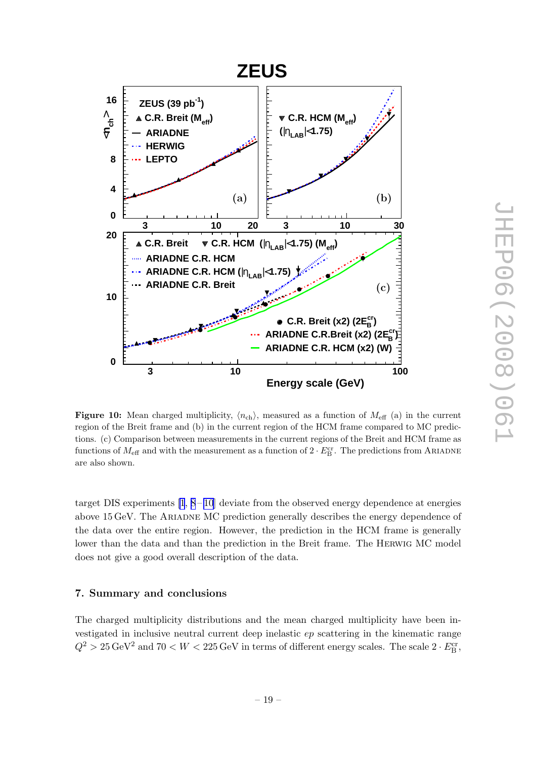<span id="page-22-0"></span>

Figure 10: Mean charged multiplicity,  $\langle n_{\text{ch}} \rangle$ , measured as a function of  $M_{\text{eff}}$  (a) in the current region of the Breit frame and (b) in the current region of the HCM frame compared to MC predictions. (c) Comparison between measurements in the current regions of the Breit and HCM frame as functions of  $M_{\text{eff}}$  and with the measurement as a function of  $2 \cdot E_{\text{B}}^{\text{cr}}$ . The predictions from ARIADNE are also shown.

target DIS experiments  $[1, 8-10]$  $[1, 8-10]$  $[1, 8-10]$  deviate from the observed energy dependence at energies above 15 GeV. The ARIADNE MC prediction generally describes the energy dependence of the data over the entire region. However, the prediction in the HCM frame is generally lower than the data and than the prediction in the Breit frame. The Herwig MC model does not give a good overall description of the data.

#### 7. Summary and conclusions

The charged multiplicity distributions and the mean charged multiplicity have been investigated in inclusive neutral current deep inelastic ep scattering in the kinematic range  $Q^2 > 25 \,\text{GeV}^2$  and  $70 < W < 225 \,\text{GeV}$  in terms of different energy scales. The scale  $2 \cdot E_B^{\text{cr}}$ ,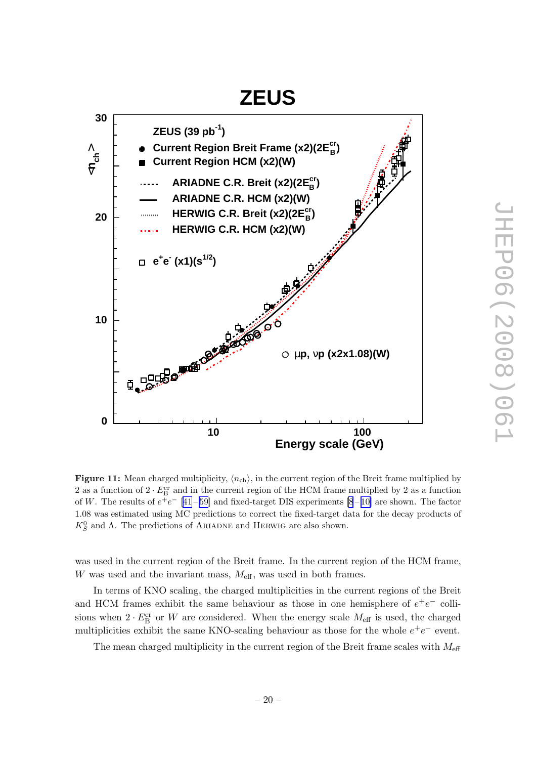# **ZEUS**

<span id="page-23-0"></span>

**Figure 11:** Mean charged multiplicity,  $\langle n_{\text{ch}} \rangle$ , in the current region of the Breit frame multiplied by 2 as a function of  $2 \cdot E_{\rm B}^{\rm cr}$  and in the current region of the HCM frame multiplied by 2 as a function of W. The results of  $e^+e^-$  [\[41](#page-35-0)-59] and fixed-target DIS experiments [\[8](#page-33-0)-10] are shown. The factor 1.08 was estimated using MC predictions to correct the fixed-target data for the decay products of  $K_S^0$  and  $\Lambda$ . The predictions of ARIADNE and HERWIG are also shown.

was used in the current region of the Breit frame. In the current region of the HCM frame, W was used and the invariant mass,  $M_{\text{eff}}$ , was used in both frames.

In terms of KNO scaling, the charged multiplicities in the current regions of the Breit and HCM frames exhibit the same behaviour as those in one hemisphere of  $e^+e^-$  collisions when  $2 \cdot E_B^{\text{cr}}$  or W are considered. When the energy scale  $M_{\text{eff}}$  is used, the charged multiplicities exhibit the same KNO-scaling behaviour as those for the whole  $e^+e^-$  event.

The mean charged multiplicity in the current region of the Breit frame scales with  $M_{\text{eff}}$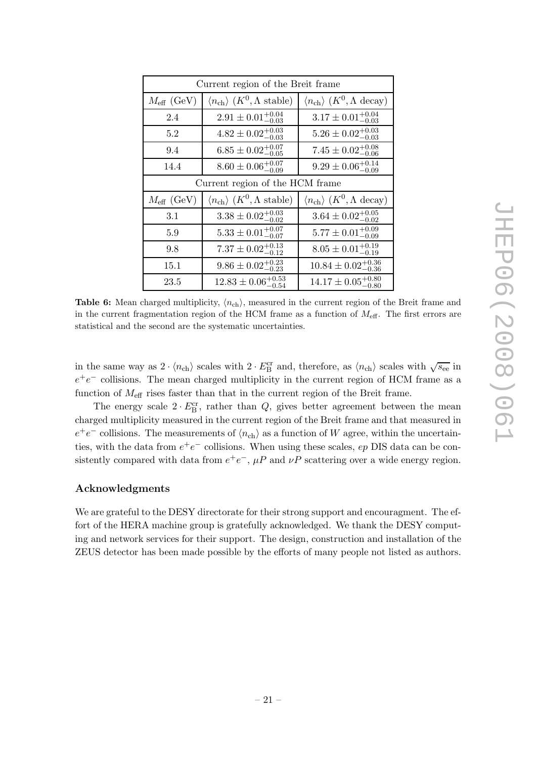<span id="page-24-0"></span>

| Current region of the Breit frame |                                                                     |                                                                |  |  |  |  |
|-----------------------------------|---------------------------------------------------------------------|----------------------------------------------------------------|--|--|--|--|
| $M_{\text{eff}}$ (GeV)            | $\langle n_{\text{ch}} \rangle$ (K <sup>0</sup> , $\Lambda$ stable) | $\langle n_{\text{ch}} \rangle$ $(K^0, \Lambda \text{ decay})$ |  |  |  |  |
| 2.4                               | $2.91 \pm 0.01^{+0.04}_{-0.03}$                                     | $3.17 \pm 0.01^{+0.04}_{-0.03}$                                |  |  |  |  |
| 5.2                               | $4.82 \pm 0.02^{+0.03}_{-0.03}$                                     | $5.26 \pm 0.02^{+0.03}_{-0.03}$                                |  |  |  |  |
| 9.4                               | $6.85 \pm 0.02^{+0.07}_{-0.05}$                                     | $7.45 \pm 0.02^{+0.08}_{-0.06}$                                |  |  |  |  |
| 14.4                              | $8.60 \pm 0.06_{-0.09}^{+0.07}$                                     | $9.29 \pm 0.06_{-0.09}^{+0.14}$                                |  |  |  |  |
|                                   | Current region of the HCM frame                                     |                                                                |  |  |  |  |
| $M_{\text{eff}}$ (GeV)            | $\langle n_{\text{ch}} \rangle$ (K <sup>0</sup> , $\Lambda$ stable) | $\langle n_{\text{ch}} \rangle$ $(K^0, \Lambda \text{ decay})$ |  |  |  |  |
| 3.1                               | $3.38 \pm 0.02^{+0.03}_{-0.02}$                                     | $3.64 \pm 0.02^{+0.05}_{-0.02}$                                |  |  |  |  |
| 5.9                               | $5.33 \pm 0.01^{+0.07}_{-0.07}$                                     | $5.77 \pm 0.01^{+0.09}_{-0.09}$                                |  |  |  |  |
| 9.8                               | $7.37 \pm 0.02_{-0.12}^{+0.13}$                                     | $8.05 \pm 0.01^{+0.19}_{-0.19}$                                |  |  |  |  |
| 15.1                              | $9.86 \pm 0.02_{-0.23}^{+0.23}$                                     | $10.84 \pm 0.02_{-0.36}^{+0.36}$                               |  |  |  |  |
| 23.5                              | $12.83 \pm 0.06_{-0.54}^{+0.53}$                                    | $14.17 \pm 0.05_{-0.80}^{+0.80}$                               |  |  |  |  |

**Table 6:** Mean charged multiplicity,  $\langle n_{\text{ch}} \rangle$ , measured in the current region of the Breit frame and in the current fragmentation region of the HCM frame as a function of  $M_{\text{eff}}$ . The first errors are statistical and the second are the systematic uncertainties.

in the same way as  $2 \cdot \langle n_{ch} \rangle$  scales with  $2 \cdot E_B^{\text{cr}}$  and, therefore, as  $\langle n_{ch} \rangle$  scales with  $\sqrt{s_{ee}}$  in  $e^+e^-$  collisions. The mean charged multiplicity in the current region of HCM frame as a function of  $M_{\text{eff}}$  rises faster than that in the current region of the Breit frame.

The energy scale  $2 \cdot E_{\text{B}}^{\text{cr}}$ , rather than  $Q$ , gives better agreement between the mean charged multiplicity measured in the current region of the Breit frame and that measured in  $e^+e^-$  collisions. The measurements of  $\langle n_{\rm ch} \rangle$  as a function of W agree, within the uncertainties, with the data from  $e^+e^-$  collisions. When using these scales,  $ep$  DIS data can be consistently compared with data from  $e^+e^-$ ,  $\mu P$  and  $\nu P$  scattering over a wide energy region.

#### Acknowledgments

We are grateful to the DESY directorate for their strong support and encouragment. The effort of the HERA machine group is gratefully acknowledged. We thank the DESY computing and network services for their support. The design, construction and installation of the ZEUS detector has been made possible by the efforts of many people not listed as authors.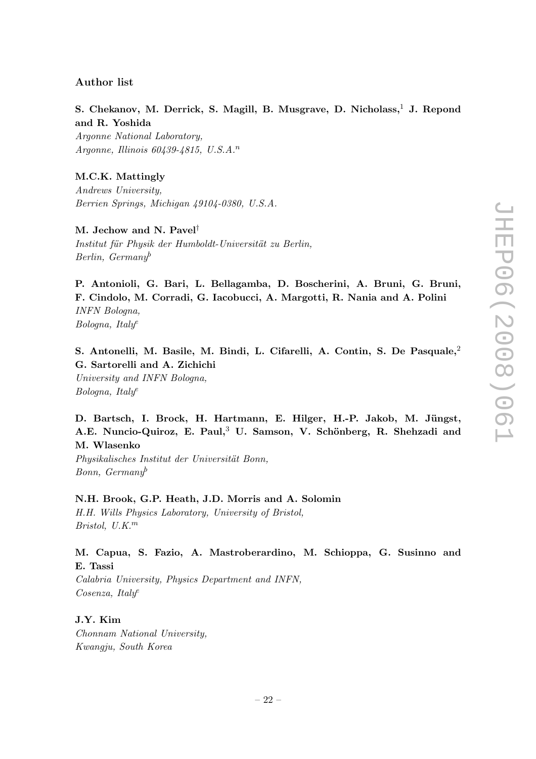#### Author list

S. Chekanov, M. Derrick, S. Magill, B. Musgrave, D. Nicholass,<sup>1</sup> J. Repond and R. Yoshida Argonne National Laboratory, Argonne, Illinois  $60439 - 4815$ , U.S.A.<sup>n</sup>

M.C.K. Mattingly Andrews University, Berrien Springs, Michigan 49104-0380, U.S.A.

M. Jechow and N. Pavel† Institut für Physik der Humboldt-Universität zu Berlin, Berlin, Germany<sup>b</sup>

P. Antonioli, G. Bari, L. Bellagamba, D. Boscherini, A. Bruni, G. Bruni, F. Cindolo, M. Corradi, G. Iacobucci, A. Margotti, R. Nania and A. Polini INFN Bologna, Bologna, Italy<sup>e</sup>

S. Antonelli, M. Basile, M. Bindi, L. Cifarelli, A. Contin, S. De Pasquale,<sup>2</sup> G. Sartorelli and A. Zichichi University and INFN Bologna, Bologna, Italy<sup>e</sup>

D. Bartsch, I. Brock, H. Hartmann, E. Hilger, H.-P. Jakob, M. Jüngst, A.E. Nuncio-Quiroz, E. Paul,<sup>3</sup> U. Samson, V. Schönberg, R. Shehzadi and M. Wlasenko

Physikalisches Institut der Universität Bonn, Bonn,  $Germany^b$ 

N.H. Brook, G.P. Heath, J.D. Morris and A. Solomin H.H. Wills Physics Laboratory, University of Bristol, Bristol,  $U.K.^m$ 

M. Capua, S. Fazio, A. Mastroberardino, M. Schioppa, G. Susinno and E. Tassi

Calabria University, Physics Department and INFN, Cosenza, Italy<sup>e</sup>

J.Y. Kim Chonnam National University, Kwangju, South Korea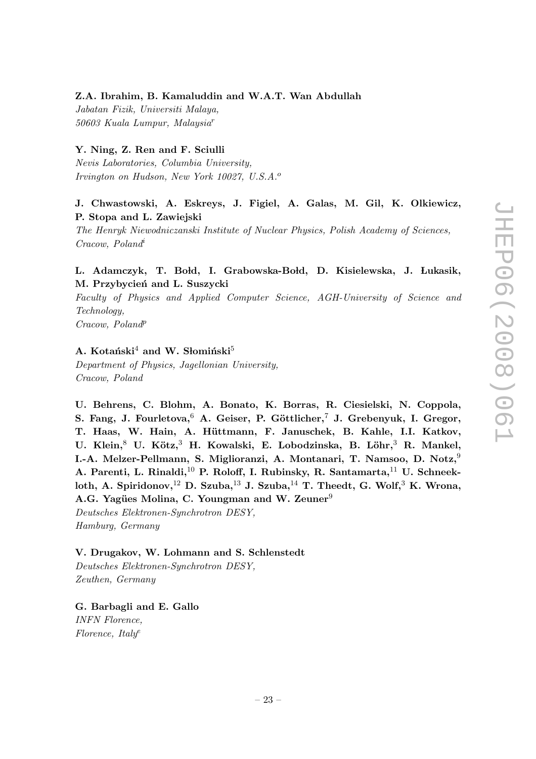#### Z.A. Ibrahim, B. Kamaluddin and W.A.T. Wan Abdullah

Jabatan Fizik, Universiti Malaya, 50603 Kuala Lumpur, Malaysia<sup>r</sup>

## Y. Ning, Z. Ren and F. Sciulli

Nevis Laboratories, Columbia University, Irvington on Hudson, New York 10027, U.S.A.<sup>o</sup>

## J. Chwastowski, A. Eskreys, J. Figiel, A. Galas, M. Gil, K. Olkiewicz, P. Stopa and L. Zawiejski

The Henryk Niewodniczanski Institute of Nuclear Physics, Polish Academy of Sciences, Cracow, Poland<sup>i</sup>

## L. Adamczyk, T. Bołd, I. Grabowska-Bołd, D. Kisielewska, J. Łukasik, M. Przybycień and L. Suszycki

Faculty of Physics and Applied Computer Science, AGH-University of Science and Technology,

Cracow, Poland<sup>p</sup>

## A. Kotański<sup>4</sup> and W. Słomiński<sup>5</sup>

Department of Physics, Jagellonian University, Cracow, Poland

U. Behrens, C. Blohm, A. Bonato, K. Borras, R. Ciesielski, N. Coppola, S. Fang, J. Fourletova,  $6$  A. Geiser, P. Göttlicher, J. Grebenyuk, I. Gregor, T. Haas, W. Hain, A. Hüttmann, F. Januschek, B. Kahle, I.I. Katkov, U. Klein,<sup>8</sup> U. Kötz,<sup>3</sup> H. Kowalski, E. Lobodzinska, B. Löhr,<sup>3</sup> R. Mankel, I.-A. Melzer-Pellmann, S. Miglioranzi, A. Montanari, T. Namsoo, D. Notz,<sup>9</sup> A. Parenti, L. Rinaldi,<sup>10</sup> P. Roloff, I. Rubinsky, R. Santamarta,<sup>11</sup> U. Schneekloth, A. Spiridonov,  $^{12}$  D. Szuba,  $^{13}$  J. Szuba,  $^{14}$  T. Theedt, G. Wolf,  $^{3}$  K. Wrona, A.G. Yagües Molina, C. Youngman and W. Zeuner<sup>9</sup> Deutsches Elektronen-Synchrotron DESY,

Hamburg, Germany

#### V. Drugakov, W. Lohmann and S. Schlenstedt

Deutsches Elektronen-Synchrotron DESY, Zeuthen, Germany

G. Barbagli and E. Gallo INFN Florence,  $Florence, Italy<sup>e</sup>$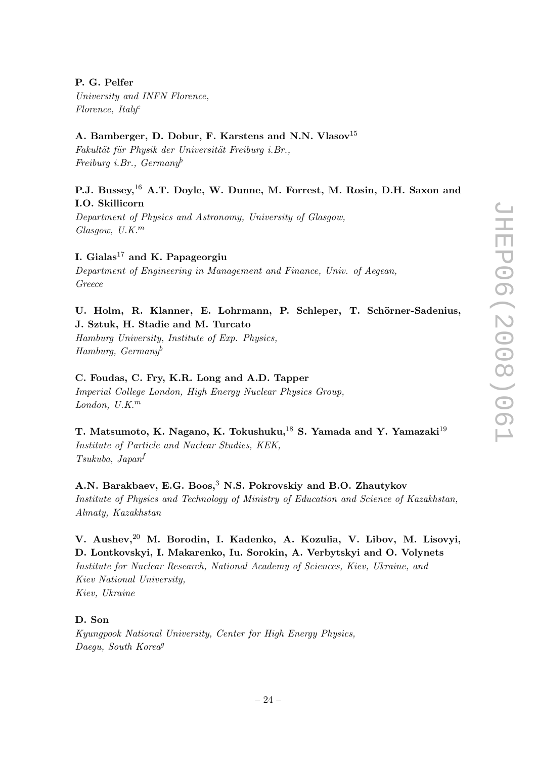## P. G. Pelfer

University and INFN Florence,  $Florence, Italy<sup>e</sup>$ 

## A. Bamberger, D. Dobur, F. Karstens and N.N. Vlasov<sup>15</sup>

Fakultät für Physik der Universität Freiburg i.Br., Freiburg i.Br.,  $German\psi$ 

## P.J. Bussey,<sup>16</sup> A.T. Doyle, W. Dunne, M. Forrest, M. Rosin, D.H. Saxon and I.O. Skillicorn

Department of Physics and Astronomy, University of Glasgow,  $G$ lasgow,  $U.K.^m$ 

## I. Gialas<sup>17</sup> and K. Papageorgiu

Department of Engineering in Management and Finance, Univ. of Aegean, Greece

## U. Holm, R. Klanner, E. Lohrmann, P. Schleper, T. Schörner-Sadenius, J. Sztuk, H. Stadie and M. Turcato

Hamburg University, Institute of Exp. Physics, Hamburg, Germany<sup>b</sup>

## C. Foudas, C. Fry, K.R. Long and A.D. Tapper

Imperial College London, High Energy Nuclear Physics Group, London,  $U.K.^m$ 

T. Matsumoto, K. Nagano, K. Tokushuku,<sup>18</sup> S. Yamada and Y. Yamazaki<sup>19</sup> Institute of Particle and Nuclear Studies, KEK, Tsukuba, Japan<sup>f</sup>

## A.N. Barakbaev, E.G. Boos,<sup>3</sup> N.S. Pokrovskiy and B.O. Zhautykov

Institute of Physics and Technology of Ministry of Education and Science of Kazakhstan, Almaty, Kazakhstan

V. Aushev,<sup>20</sup> M. Borodin, I. Kadenko, A. Kozulia, V. Libov, M. Lisovyi, D. Lontkovskyi, I. Makarenko, Iu. Sorokin, A. Verbytskyi and O. Volynets Institute for Nuclear Research, National Academy of Sciences, Kiev, Ukraine, and Kiev National University, Kiev, Ukraine

## D. Son

Kyungpook National University, Center for High Energy Physics, Daegu, South Korea<sup>g</sup>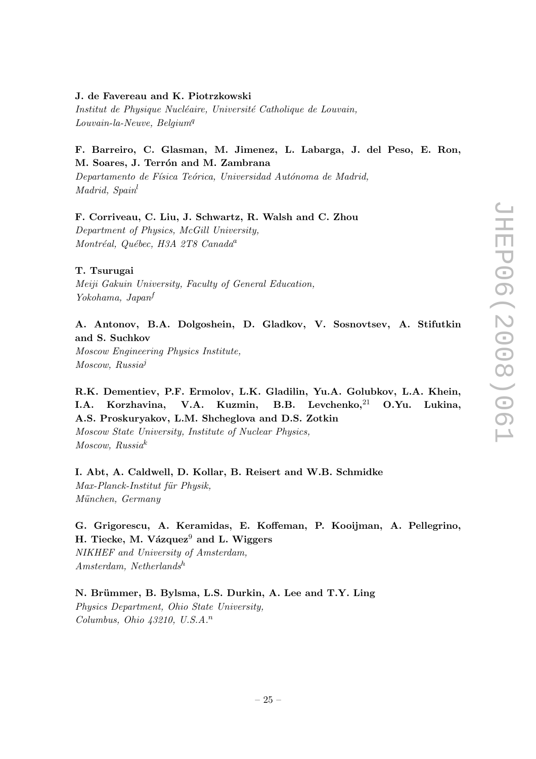#### J. de Favereau and K. Piotrzkowski

Institut de Physique Nucléaire, Université Catholique de Louvain,  $Low vain$ -la-Neuve, Belgium<sup>q</sup>

## F. Barreiro, C. Glasman, M. Jimenez, L. Labarga, J. del Peso, E. Ron, M. Soares, J. Terrón and M. Zambrana

Departamento de Física Teórica, Universidad Autónoma de Madrid, Madrid, Spain<sup>l</sup>

## F. Corriveau, C. Liu, J. Schwartz, R. Walsh and C. Zhou

Department of Physics, McGill University, Montréal, Québec, H3A 2T8 Canada<sup>a</sup>

## T. Tsurugai

Meiji Gakuin University, Faculty of General Education, Yokohama, Japan<sup>f</sup>

## A. Antonov, B.A. Dolgoshein, D. Gladkov, V. Sosnovtsev, A. Stifutkin and S. Suchkov

Moscow Engineering Physics Institute, Moscow, Russia<sup>j</sup>

## R.K. Dementiev, P.F. Ermolov, L.K. Gladilin, Yu.A. Golubkov, L.A. Khein, I.A. Korzhavina, V.A. Kuzmin, B.B. Levchenko,<sup>21</sup> O.Yu. Lukina, A.S. Proskuryakov, L.M. Shcheglova and D.S. Zotkin

Moscow State University, Institute of Nuclear Physics, Moscow, Russia<sup>k</sup>

## I. Abt, A. Caldwell, D. Kollar, B. Reisert and W.B. Schmidke  $Max-Planck-Institut für Physik,$ München, Germany

## G. Grigorescu, A. Keramidas, E. Koffeman, P. Kooijman, A. Pellegrino, H. Tiecke, M. Vázquez $9$  and L. Wiggers

NIKHEF and University of Amsterdam,  $Amsterdam, Netherlands<sup>h</sup>$ 

N. Brümmer, B. Bylsma, L.S. Durkin, A. Lee and T.Y. Ling Physics Department, Ohio State University, Columbus, Ohio  $\mu$ 3210, U.S.A.<sup>n</sup>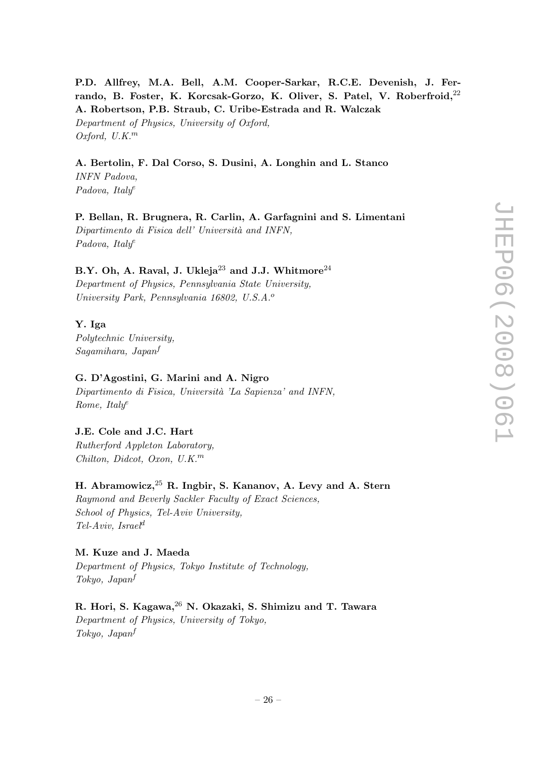P.D. Allfrey, M.A. Bell, A.M. Cooper-Sarkar, R.C.E. Devenish, J. Ferrando, B. Foster, K. Korcsak-Gorzo, K. Oliver, S. Patel, V. Roberfroid,  $^{22}$ A. Robertson, P.B. Straub, C. Uribe-Estrada and R. Walczak Department of Physics, University of Oxford, Oxford,  $U.K.^m$ 

## A. Bertolin, F. Dal Corso, S. Dusini, A. Longhin and L. Stanco

INFN Padova, Padova, Italy<sup>e</sup>

P. Bellan, R. Brugnera, R. Carlin, A. Garfagnini and S. Limentani Dipartimento di Fisica dell' Università and INFN, Padova, Italy<sup>e</sup>

## B.Y. Oh, A. Raval, J. Ukleja $^{23}$  and J.J. Whitmore $^{24}$

Department of Physics, Pennsylvania State University, University Park, Pennsylvania 16802, U.S.A.<sup>o</sup>

## Y. Iga

Polytechnic University, Sagamihara, Japan<sup>f</sup>

#### G. D'Agostini, G. Marini and A. Nigro

Dipartimento di Fisica, Università 'La Sapienza' and INFN, Rome, Ital $y^e$ 

## J.E. Cole and J.C. Hart

Rutherford Appleton Laboratory, Chilton, Didcot, Oxon, U.K.<sup>m</sup>

## H. Abramowicz,  $25$  R. Ingbir, S. Kananov, A. Levy and A. Stern

Raymond and Beverly Sackler Faculty of Exact Sciences, School of Physics, Tel-Aviv University,  $Tel-Aviv, Israel^d$ 

#### M. Kuze and J. Maeda

Department of Physics, Tokyo Institute of Technology, Tokyo, Japan<sup>f</sup>

R. Hori, S. Kagawa, <sup>26</sup> N. Okazaki, S. Shimizu and T. Tawara Department of Physics, University of Tokyo, Tokyo, Japan<sup>f</sup>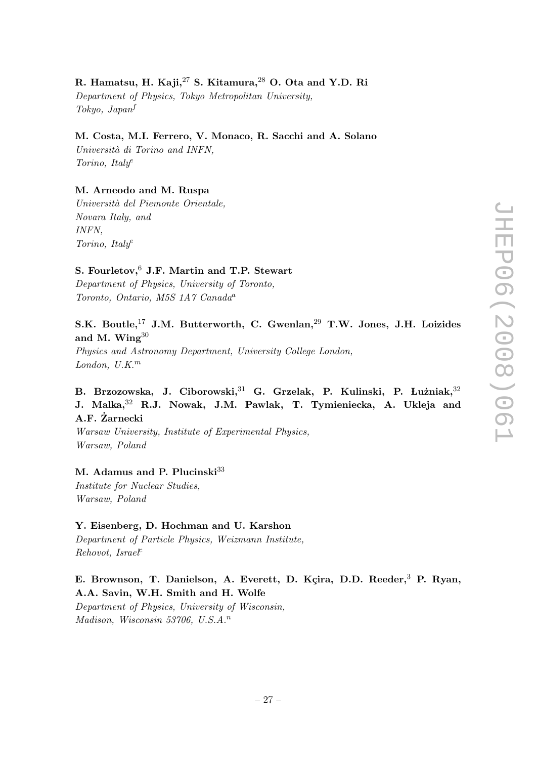## R. Hamatsu, H. Kaji, $^{27}$  S. Kitamura, $^{28}$  O. Ota and Y.D. Ri

Department of Physics, Tokyo Metropolitan University, Tokyo, Japan<sup>f</sup>

## M. Costa, M.I. Ferrero, V. Monaco, R. Sacchi and A. Solano

Università di Torino and INFN. Torino, Italy<sup>e</sup>

#### M. Arneodo and M. Ruspa

Università del Piemonte Orientale, Novara Italy, and INFN, Torino, Italy<sup>e</sup>

## S. Fourletov, <sup>6</sup> J.F. Martin and T.P. Stewart

Department of Physics, University of Toronto, Toronto, Ontario, M5S 1A7 Canada<sup>a</sup>

## S.K. Boutle,<sup>17</sup> J.M. Butterworth, C. Gwenlan,<sup>29</sup> T.W. Jones, J.H. Loizides and M. Wing<sup>30</sup>

Physics and Astronomy Department, University College London, London,  $U.K.^m$ 

## B. Brzozowska, J. Ciborowski, <sup>31</sup> G. Grzelak, P. Kulinski, P. Lużniak, <sup>32</sup> J. Malka,<sup>32</sup> R.J. Nowak, J.M. Pawlak, T. Tymieniecka, A. Ukleja and A.F. Zarnecki ˙

Warsaw University, Institute of Experimental Physics, Warsaw, Poland

## M. Adamus and P. Plucinski $33$

Institute for Nuclear Studies, Warsaw, Poland

### Y. Eisenberg, D. Hochman and U. Karshon

Department of Particle Physics, Weizmann Institute,  $Rehovot, Israe\ell^c$ 

## E. Brownson, T. Danielson, A. Everett, D. Kçira, D.D. Reeder,<sup>3</sup> P. Ryan, A.A. Savin, W.H. Smith and H. Wolfe

Department of Physics, University of Wisconsin, Madison, Wisconsin 53706, U.S.A.<sup>n</sup>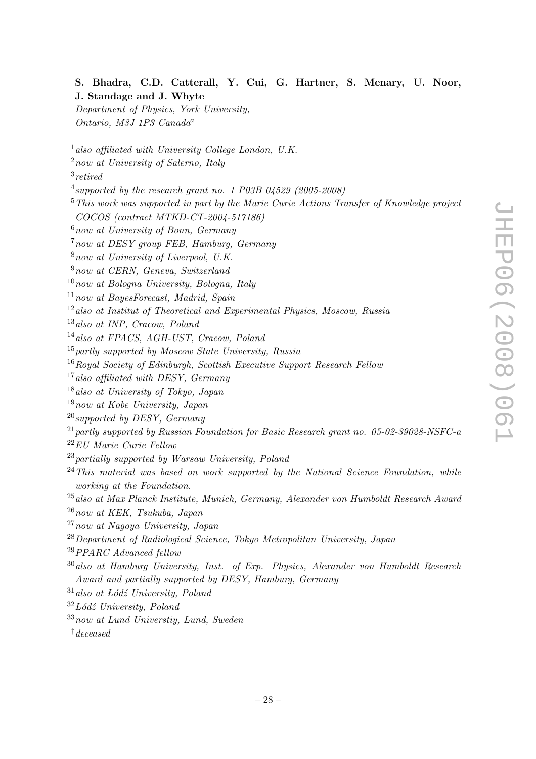## S. Bhadra, C.D. Catterall, Y. Cui, G. Hartner, S. Menary, U. Noor, J. Standage and J. Whyte

Department of Physics, York University, Ontario, M3J 1P3 Canada<sup>a</sup>

- $1$  also affiliated with University College London, U.K.
- <sup>2</sup>now at University of Salerno, Italy

3 retired

- $^4$ supported by the research grant no. 1 P03B 04529 (2005-2008)
- $5$ This work was supported in part by the Marie Curie Actions Transfer of Knowledge project COCOS (contract MTKD-CT-2004-517186)
- $6$ now at University of Bonn, Germany
- <sup>7</sup>now at DESY group FEB, Hamburg, Germany
- $8now$  at University of Liverpool, U.K.
- <sup>9</sup>now at CERN, Geneva, Switzerland
- $10$ now at Bologna University, Bologna, Italy
- $11$ now at BayesForecast, Madrid, Spain
- $12$ also at Institut of Theoretical and Experimental Physics, Moscow, Russia
- <sup>13</sup>also at INP, Cracow, Poland
- <sup>14</sup>also at FPACS, AGH-UST, Cracow, Poland
- $15$  partly supported by Moscow State University, Russia
- <sup>16</sup>Royal Society of Edinburgh, Scottish Executive Support Research Fellow
- <sup>17</sup>also affiliated with DESY, Germany
- <sup>18</sup>also at University of Tokyo, Japan
- $19$ now at Kobe University, Japan
- $^{20}$ supported by DESY, Germany
- $^{21}$  partly supported by Russian Foundation for Basic Research grant no. 05-02-39028-NSFC-a
- <sup>22</sup>EU Marie Curie Fellow
- $^{23}$ partially supported by Warsaw University, Poland
- $^{24}$ This material was based on work supported by the National Science Foundation, while working at the Foundation.
- <sup>25</sup>also at Max Planck Institute, Munich, Germany, Alexander von Humboldt Research Award
- $26$ now at KEK, Tsukuba, Japan
- <sup>27</sup>now at Nagoya University, Japan
- <sup>28</sup>Department of Radiological Science, Tokyo Metropolitan University, Japan
- <sup>29</sup>PPARC Advanced fellow
- $30$ also at Hamburg University, Inst. of Exp. Physics, Alexander von Humboldt Research Award and partially supported by DESY, Hamburg, Germany
- $31$ also at Lódź University, Poland
- $32 Lód\zeta$  University, Poland
- $33$ now at Lund Universtiy, Lund, Sweden
- †deceased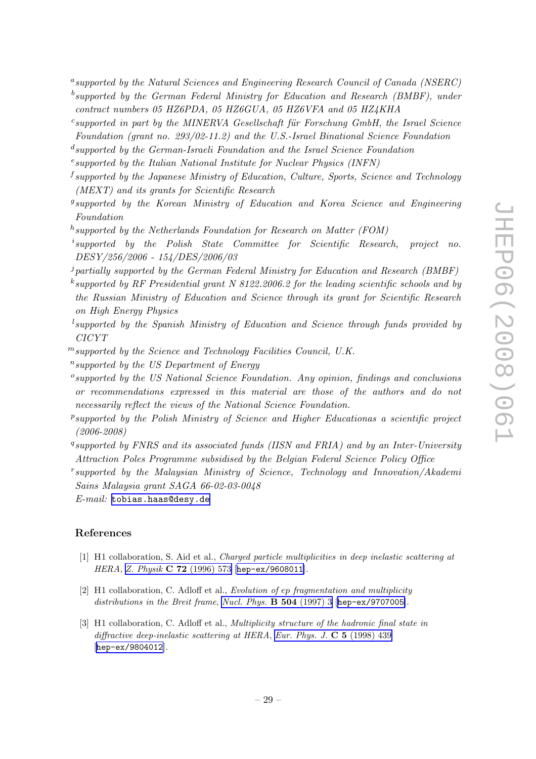- <span id="page-32-0"></span><sup>a</sup>supported by the Natural Sciences and Engineering Research Council of Canada (NSERC)
- $^b$ supported by the German Federal Ministry for Education and Research (BMBF), under contract numbers 05 HZ6PDA, 05 HZ6GUA, 05 HZ6VFA and 05 HZ4KHA
- $c$ supported in part by the MINERVA Gesellschaft für Forschung GmbH, the Israel Science Foundation (grant no. 293/02-11.2) and the U.S.-Israel Binational Science Foundation
- d supported by the German-Israeli Foundation and the Israel Science Foundation
- <sup>e</sup>supported by the Italian National Institute for Nuclear Physics (INFN)
- <sup>f</sup> supported by the Japanese Ministry of Education, Culture, Sports, Science and Technology (MEXT) and its grants for Scientific Research
- <sup>g</sup>supported by the Korean Ministry of Education and Korea Science and Engineering Foundation
- $^h$ supported by the Netherlands Foundation for Research on Matter (FOM)
- i supported by the Polish State Committee for Scientific Research, project no. DESY/256/2006 - 154/DES/2006/03
- $j$  partially supported by the German Federal Ministry for Education and Research (BMBF)
- $k$ supported by RF Presidential grant N 8122.2006.2 for the leading scientific schools and by the Russian Ministry of Education and Science through its grant for Scientific Research on High Energy Physics
- $^l$ supported by the Spanish Ministry of Education and Science through funds provided by CICYT
- $<sup>m</sup>$ supported by the Science and Technology Facilities Council, U.K.</sup>
- <sup>n</sup>supported by the US Department of Energy
- <sup>o</sup>supported by the US National Science Foundation. Any opinion, findings and conclusions or recommendations expressed in this material are those of the authors and do not necessarily reflect the views of the National Science Foundation.
- <sup>p</sup>supported by the Polish Ministry of Science and Higher Educationas a scientific project (2006-2008)
- <sup>q</sup>supported by FNRS and its associated funds (IISN and FRIA) and by an Inter-University Attraction Poles Programme subsidised by the Belgian Federal Science Policy Office
- r supported by the Malaysian Ministry of Science, Technology and Innovation/Akademi Sains Malaysia grant SAGA 66-02-03-0048
- E-mail: [tobias.haas@desy.de](mailto:tobias.haas@desy.de)

#### References

- [1] H1 collaboration, S. Aid et al., Charged particle multiplicities in deep inelastic scattering at HERA, Z. Physik C 72 [\(1996\) 573](http://www-spires.slac.stanford.edu/spires/find/hep/www?j=ZEPYA%2CC72%2C573) [[hep-ex/9608011](http://arxiv.org/abs/hep-ex/9608011)].
- [2] H1 collaboration, C. Adloff et al., Evolution of ep fragmentation and multiplicity distributions in the Breit frame, [Nucl. Phys.](http://www-spires.slac.stanford.edu/spires/find/hep/www?j=NUPHA%2CB504%2C3)  $\bf{B}$  504 (1997) 3 [[hep-ex/9707005](http://arxiv.org/abs/hep-ex/9707005)].
- [3] H1 collaboration, C. Adloff et al., *Multiplicity structure of the hadronic final state in* diffractive deep-inelastic scattering at HERA, [Eur. Phys. J.](http://www-spires.slac.stanford.edu/spires/find/hep/www?j=EPHJA%2CC5%2C439)  $\bf{C}$  5 (1998) 439 [[hep-ex/9804012](http://arxiv.org/abs/hep-ex/9804012)].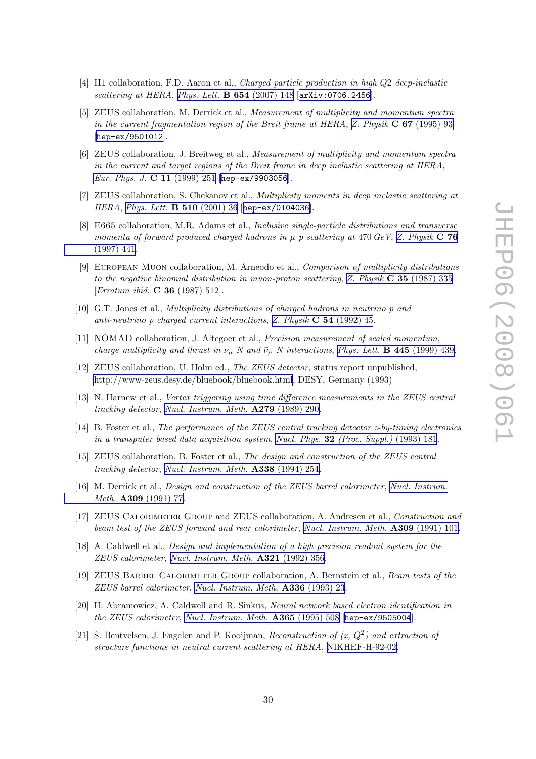- <span id="page-33-0"></span>[4] H1 collaboration, F.D. Aaron et al., *Charged particle production in high Q2 deep-inelastic* scattering at HERA, [Phys. Lett.](http://www-spires.slac.stanford.edu/spires/find/hep/www?j=PHLTA%2CB654%2C148) **B 654** (2007) 148 [[arXiv:0706.2456](http://arxiv.org/abs/0706.2456)].
- [5] ZEUS collaboration, M. Derrick et al., Measurement of multiplicity and momentum spectra in the current fragmentation region of the Breit frame at HERA, Z. Physik  $C$  67 [\(1995\) 93](http://www-spires.slac.stanford.edu/spires/find/hep/www?j=ZEPYA%2CC67%2C93) [[hep-ex/9501012](http://arxiv.org/abs/hep-ex/9501012)].
- [6] ZEUS collaboration, J. Breitweg et al., Measurement of multiplicity and momentum spectra in the current and target regions of the Breit frame in deep inelastic scattering at HERA, [Eur. Phys. J.](http://www-spires.slac.stanford.edu/spires/find/hep/www?j=EPHJA%2CC11%2C251) C 11 (1999) 251 [[hep-ex/9903056](http://arxiv.org/abs/hep-ex/9903056)].
- [7] ZEUS collaboration, S. Chekanov et al., Multiplicity moments in deep inelastic scattering at HERA, [Phys. Lett.](http://www-spires.slac.stanford.edu/spires/find/hep/www?j=PHLTA%2CB510%2C36) B 510 (2001) 36 [[hep-ex/0104036](http://arxiv.org/abs/hep-ex/0104036)].
- [8] E665 collaboration, M.R. Adams et al., Inclusive single-particle distributions and transverse momenta of forward produced charged hadrons in  $\mu$  p scattering at 470 GeV, [Z. Physik](http://www-spires.slac.stanford.edu/spires/find/hep/www?j=ZEPYA%2CC76%2C441) **C 76** [\(1997\) 441](http://www-spires.slac.stanford.edu/spires/find/hep/www?j=ZEPYA%2CC76%2C441).
- [9] European Muon collaboration, M. Arneodo et al., Comparison of multiplicity distributions to the negative binomial distribution in muon-proton scattering, Z. Physik  $C$  35 [\(1987\) 335](http://www-spires.slac.stanford.edu/spires/find/hep/www?j=ZEPYA%2CC35%2C335) [Erratum ibid. C 36 (1987) 512].
- [10] G.T. Jones et al., Multiplicity distributions of charged hadrons in neutrino p and anti-neutrino p charged current interactions, Z. Physik C 54 [\(1992\) 45](http://www-spires.slac.stanford.edu/spires/find/hep/www?j=ZEPYA%2CC54%2C45).
- [11] NOMAD collaboration, J. Altegoer et al., Precision measurement of scaled momentum, charge multiplicity and thrust in  $\nu_{\mu}$  N and  $\bar{\nu}_{\mu}$  N interactions, [Phys. Lett.](http://www-spires.slac.stanford.edu/spires/find/hep/www?j=PHLTA%2CB445%2C439) **B 445** (1999) 439.
- [12] ZEUS collaboration, U. Holm ed., The ZEUS detector, status report unpublished, [http://www-zeus.desy.de/bluebook/bluebook.html,](http://www-zeus.desy.de/bluebook/bluebook.html) DESY, Germany (1993)
- [13] N. Harnew et al., Vertex triggering using time difference measurements in the ZEUS central tracking detector, [Nucl. Instrum. Meth.](http://www-spires.slac.stanford.edu/spires/find/hep/www?j=NUIMA%2CA279%2C290) A279 (1989) 290.
- [14] B. Foster et al., The performance of the ZEUS central tracking detector z-by-timing electronics in a transputer based data acquisition system, Nucl. Phys. 32 [\(Proc. Suppl.\)](http://www-spires.slac.stanford.edu/spires/find/hep/www?j=NUPHZ%2C32%2C181) (1993) 181.
- [15] ZEUS collaboration, B. Foster et al., The design and construction of the ZEUS central tracking detector, [Nucl. Instrum. Meth.](http://www-spires.slac.stanford.edu/spires/find/hep/www?j=NUIMA%2CA338%2C254) A338 (1994) 254.
- [16] M. Derrick et al., Design and construction of the ZEUS barrel calorimeter, [Nucl. Instrum.](http://www-spires.slac.stanford.edu/spires/find/hep/www?j=NUIMA%2CA309%2C77) Meth. A309 [\(1991\) 77](http://www-spires.slac.stanford.edu/spires/find/hep/www?j=NUIMA%2CA309%2C77).
- [17] ZEUS Calorimeter Group and ZEUS collaboration, A. Andresen et al., Construction and beam test of the ZEUS forward and rear calorimeter, [Nucl. Instrum. Meth.](http://www-spires.slac.stanford.edu/spires/find/hep/www?j=NUIMA%2CA309%2C101) A309 (1991) 101.
- [18] A. Caldwell et al., Design and implementation of a high precision readout system for the ZEUS calorimeter, [Nucl. Instrum. Meth.](http://www-spires.slac.stanford.edu/spires/find/hep/www?j=NUIMA%2CA321%2C356) A321 (1992) 356.
- [19] ZEUS Barrel Calorimeter Group collaboration, A. Bernstein et al., Beam tests of the ZEUS barrel calorimeter, [Nucl. Instrum. Meth.](http://www-spires.slac.stanford.edu/spires/find/hep/www?j=NUIMA%2CA336%2C23) A336 (1993) 23.
- [20] H. Abramowicz, A. Caldwell and R. Sinkus, Neural network based electron identification in the ZEUS calorimeter, [Nucl. Instrum. Meth.](http://www-spires.slac.stanford.edu/spires/find/hep/www?j=NUIMA%2CA365%2C508) A365 (1995) 508 [[hep-ex/9505004](http://arxiv.org/abs/hep-ex/9505004)].
- [21] S. Bentvelsen, J. Engelen and P. Kooijman, Reconstruction of  $(x, Q^2)$  and extraction of structure functions in neutral current scattering at HERA, [NIKHEF-H-92-02](http://www-spires.slac.stanford.edu/spires/find/hep/www?r= NIKHEF-H-92-02).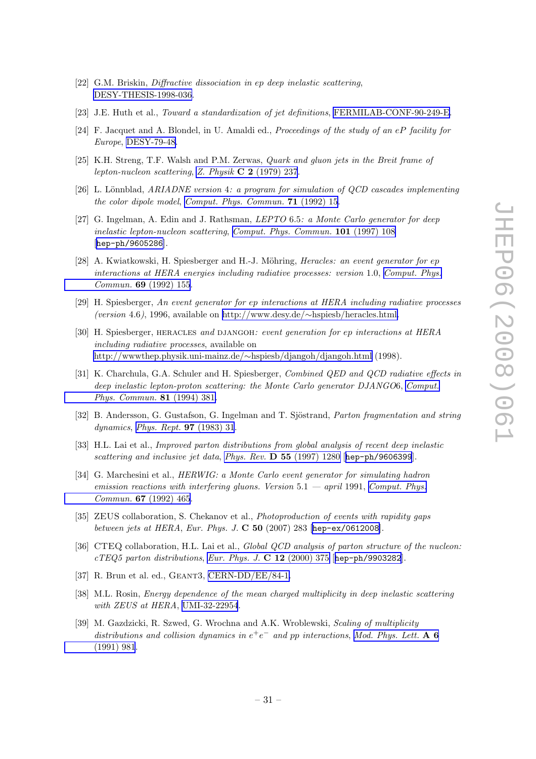- <span id="page-34-0"></span>[22] G.M. Briskin, Diffractive dissociation in ep deep inelastic scattering, [DESY-THESIS-1998-036](http://www-spires.slac.stanford.edu/spires/find/hep/www?r= DESY-THESIS-1998-036).
- [23] J.E. Huth et al., Toward a standardization of jet definitions, [FERMILAB-CONF-90-249-E.](http://www-spires.slac.stanford.edu/spires/find/hep/www?r= FERMILAB-CONF-90-249-E)
- [24] F. Jacquet and A. Blondel, in U. Amaldi ed., Proceedings of the study of an eP facility for Europe, [DESY-79-48.](http://www-spires.slac.stanford.edu/spires/find/hep/www?r= DESY-79-48)
- [25] K.H. Streng, T.F. Walsh and P.M. Zerwas, *Quark and gluon jets in the Breit frame of* lepton-nucleon scattering, Z. Physik C 2 [\(1979\) 237](http://www-spires.slac.stanford.edu/spires/find/hep/www?j=ZEPYA%2CC2%2C237).
- [26] L. Lönnblad,  $ARIADNE$  version 4: a program for simulation of  $QCD$  cascades implementing the color dipole model, [Comput. Phys. Commun.](http://www-spires.slac.stanford.edu/spires/find/hep/www?j=CPHCB%2C71%2C15) 71 (1992) 15.
- [27] G. Ingelman, A. Edin and J. Rathsman, LEPTO 6.5: a Monte Carlo generator for deep inelastic lepton-nucleon scattering, [Comput. Phys. Commun.](http://www-spires.slac.stanford.edu/spires/find/hep/www?j=CPHCB%2C101%2C108) 101 (1997) 108 [[hep-ph/9605286](http://arxiv.org/abs/hep-ph/9605286)].
- [28] A. Kwiatkowski, H. Spiesberger and H.-J. Möhring, *Heracles: an event generator for ep* interactions at HERA energies including radiative processes: version 1.0, [Comput. Phys.](http://www-spires.slac.stanford.edu/spires/find/hep/www?j=CPHCB%2C69%2C155) Commun. 69 [\(1992\) 155](http://www-spires.slac.stanford.edu/spires/find/hep/www?j=CPHCB%2C69%2C155).
- [29] H. Spiesberger, An event generator for ep interactions at HERA including radiative processes (version 4.6), 1996, available on http://www.desy.de/∼[hspiesb/heracles.html.](http://www.desy.de/~hspiesb/heracles.html)
- [30] H. Spiesberger, HERACLES and DJANGOH: event generation for ep interactions at HERA including radiative processes, available on [http://wwwthep.physik.uni-mainz.de/](http://wwwthep.physik.uni-mainz.de/~hspiesb/djangoh/djangoh.html)∼hspiesb/djangoh/djangoh.html (1998).
- [31] K. Charchula, G.A. Schuler and H. Spiesberger, Combined QED and QCD radiative effects in deep inelastic lepton-proton scattering: the Monte Carlo generator DJANGO6, [Comput.](http://www-spires.slac.stanford.edu/spires/find/hep/www?j=CPHCB%2C81%2C381) [Phys. Commun.](http://www-spires.slac.stanford.edu/spires/find/hep/www?j=CPHCB%2C81%2C381) 81 (1994) 381.
- [32] B. Andersson, G. Gustafson, G. Ingelman and T. Sjöstrand, Parton fragmentation and string dynamics, [Phys. Rept.](http://www-spires.slac.stanford.edu/spires/find/hep/www?j=PRPLC%2C97%2C31) 97 (1983) 31.
- [33] H.L. Lai et al., Improved parton distributions from global analysis of recent deep inelastic scattering and inclusive jet data, Phys. Rev.  $D$  55 [\(1997\) 1280](http://www-spires.slac.stanford.edu/spires/find/hep/www?j=PHRVA%2CD55%2C1280) [[hep-ph/9606399](http://arxiv.org/abs/hep-ph/9606399)].
- [34] G. Marchesini et al., HERWIG: a Monte Carlo event generator for simulating hadron emission reactions with interfering gluons. Version  $5.1 -$  april 1991, [Comput. Phys.](http://www-spires.slac.stanford.edu/spires/find/hep/www?j=CPHCB%2C67%2C465) Commun. 67 [\(1992\) 465](http://www-spires.slac.stanford.edu/spires/find/hep/www?j=CPHCB%2C67%2C465).
- [35] ZEUS collaboration, S. Chekanov et al., Photoproduction of events with rapidity gaps between jets at HERA, Eur. Phys. J.  $C$  50 (2007) 283 [[hep-ex/0612008](http://arxiv.org/abs/hep-ex/0612008)].
- [36] CTEQ collaboration, H.L. Lai et al., *Global QCD analysis of parton structure of the nucleon*:  $cTEQ5$  parton distributions, [Eur. Phys. J.](http://www-spires.slac.stanford.edu/spires/find/hep/www?j=EPHJA%2CC12%2C375)  $C 12$  (2000) 375 [[hep-ph/9903282](http://arxiv.org/abs/hep-ph/9903282)].
- [37] R. Brun et al. ed., GEANT3, [CERN-DD/EE/84-1.](http://www-spires.slac.stanford.edu/spires/find/hep/www?r= CERN-DD/EE/84-1)
- [38] M.L. Rosin, Energy dependence of the mean charged multiplicity in deep inelastic scattering with ZEUS at HERA, [UMI-32-22954](http://www-spires.slac.stanford.edu/spires/find/hep/www?r= UMI-32-22954).
- [39] M. Gazdzicki, R. Szwed, G. Wrochna and A.K. Wroblewski, Scaling of multiplicity distributions and collision dynamics in  $e^+e^-$  and pp interactions, [Mod. Phys. Lett.](http://www-spires.slac.stanford.edu/spires/find/hep/www?j=MPLAE%2CA6%2C981) A 6 [\(1991\) 981](http://www-spires.slac.stanford.edu/spires/find/hep/www?j=MPLAE%2CA6%2C981).